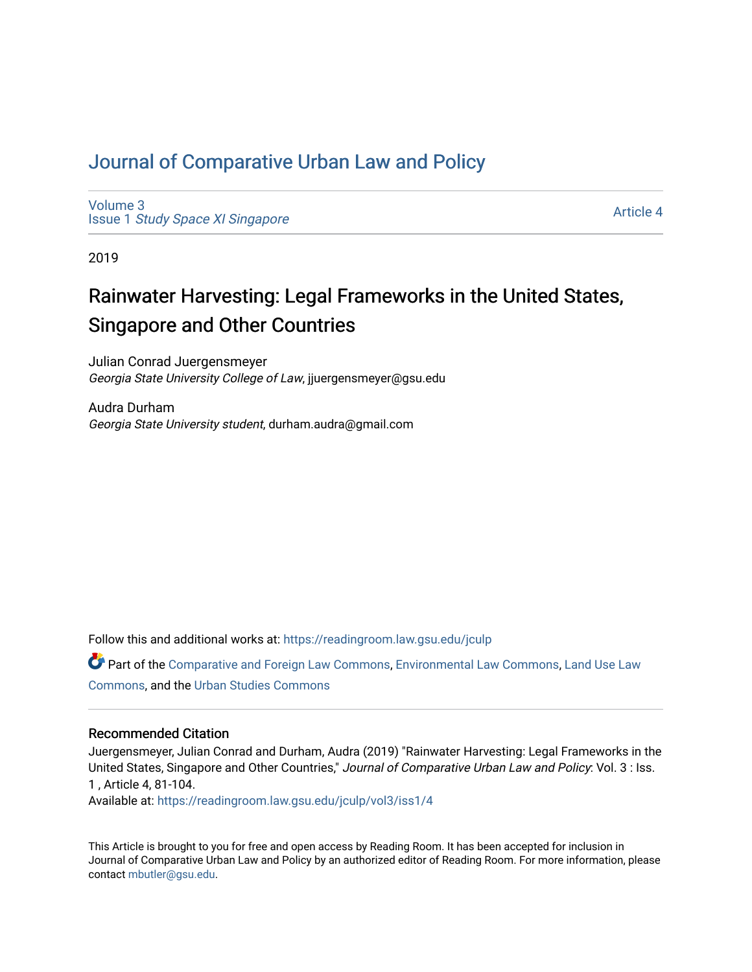## [Journal of Comparative Urban Law and Policy](https://readingroom.law.gsu.edu/jculp)

[Volume 3](https://readingroom.law.gsu.edu/jculp/vol3) Issue 1 [Study Space XI Singapore](https://readingroom.law.gsu.edu/jculp/vol3/iss1)

[Article 4](https://readingroom.law.gsu.edu/jculp/vol3/iss1/4) 

2019

# Rainwater Harvesting: Legal Frameworks in the United States, Singapore and Other Countries

Julian Conrad Juergensmeyer Georgia State University College of Law, jjuergensmeyer@gsu.edu

Audra Durham Georgia State University student, durham.audra@gmail.com

Follow this and additional works at: [https://readingroom.law.gsu.edu/jculp](https://readingroom.law.gsu.edu/jculp?utm_source=readingroom.law.gsu.edu%2Fjculp%2Fvol3%2Fiss1%2F4&utm_medium=PDF&utm_campaign=PDFCoverPages) 

Part of the [Comparative and Foreign Law Commons,](http://network.bepress.com/hgg/discipline/836?utm_source=readingroom.law.gsu.edu%2Fjculp%2Fvol3%2Fiss1%2F4&utm_medium=PDF&utm_campaign=PDFCoverPages) [Environmental Law Commons](http://network.bepress.com/hgg/discipline/599?utm_source=readingroom.law.gsu.edu%2Fjculp%2Fvol3%2Fiss1%2F4&utm_medium=PDF&utm_campaign=PDFCoverPages), [Land Use Law](http://network.bepress.com/hgg/discipline/852?utm_source=readingroom.law.gsu.edu%2Fjculp%2Fvol3%2Fiss1%2F4&utm_medium=PDF&utm_campaign=PDFCoverPages)  [Commons](http://network.bepress.com/hgg/discipline/852?utm_source=readingroom.law.gsu.edu%2Fjculp%2Fvol3%2Fiss1%2F4&utm_medium=PDF&utm_campaign=PDFCoverPages), and the [Urban Studies Commons](http://network.bepress.com/hgg/discipline/402?utm_source=readingroom.law.gsu.edu%2Fjculp%2Fvol3%2Fiss1%2F4&utm_medium=PDF&utm_campaign=PDFCoverPages) 

#### Recommended Citation

Juergensmeyer, Julian Conrad and Durham, Audra (2019) "Rainwater Harvesting: Legal Frameworks in the United States, Singapore and Other Countries," Journal of Comparative Urban Law and Policy: Vol. 3 : Iss. 1 , Article 4, 81-104.

Available at: [https://readingroom.law.gsu.edu/jculp/vol3/iss1/4](https://readingroom.law.gsu.edu/jculp/vol3/iss1/4?utm_source=readingroom.law.gsu.edu%2Fjculp%2Fvol3%2Fiss1%2F4&utm_medium=PDF&utm_campaign=PDFCoverPages) 

This Article is brought to you for free and open access by Reading Room. It has been accepted for inclusion in Journal of Comparative Urban Law and Policy by an authorized editor of Reading Room. For more information, please contact [mbutler@gsu.edu](mailto:mbutler@gsu.edu).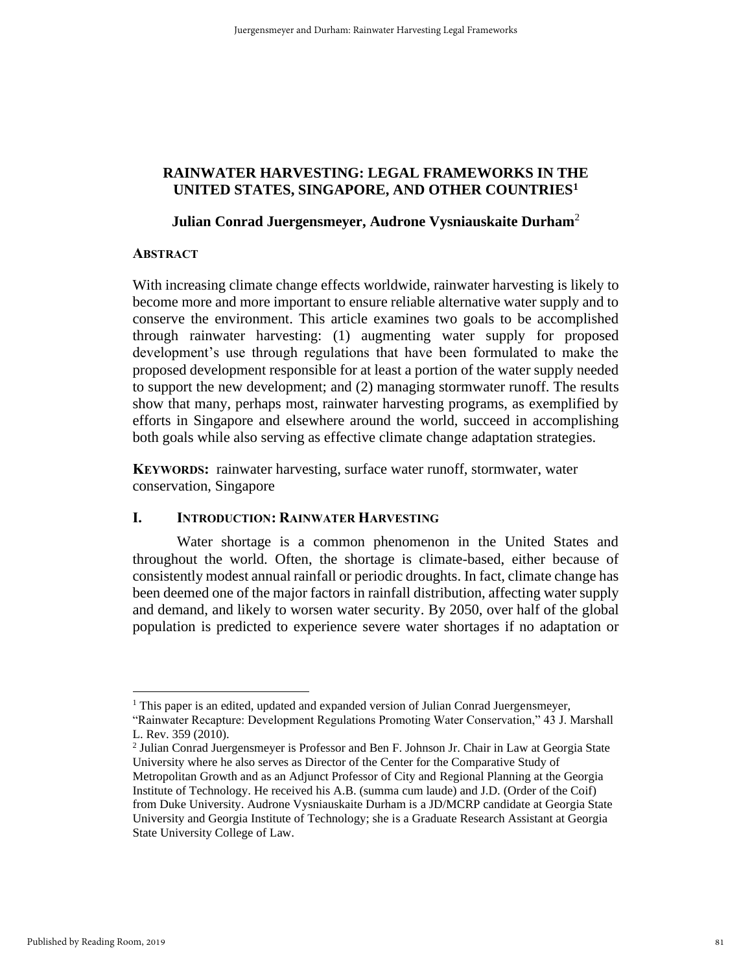## **RAINWATER HARVESTING: LEGAL FRAMEWORKS IN THE UNITED STATES, SINGAPORE, AND OTHER COUNTRIES<sup>1</sup>**

## **Julian Conrad Juergensmeyer, Audrone Vysniauskaite Durham**<sup>2</sup>

### **ABSTRACT**

With increasing climate change effects worldwide, rainwater harvesting is likely to become more and more important to ensure reliable alternative water supply and to conserve the environment. This article examines two goals to be accomplished through rainwater harvesting: (1) augmenting water supply for proposed development's use through regulations that have been formulated to make the proposed development responsible for at least a portion of the water supply needed to support the new development; and (2) managing stormwater runoff. The results show that many, perhaps most, rainwater harvesting programs, as exemplified by efforts in Singapore and elsewhere around the world, succeed in accomplishing both goals while also serving as effective climate change adaptation strategies.

**KEYWORDS:** rainwater harvesting, surface water runoff, stormwater, water conservation, Singapore

## **I. INTRODUCTION: RAINWATER HARVESTING**

Water shortage is a common phenomenon in the United States and throughout the world. Often, the shortage is climate-based, either because of consistently modest annual rainfall or periodic droughts. In fact, climate change has been deemed one of the major factors in rainfall distribution, affecting water supply and demand, and likely to worsen water security. By 2050, over half of the global population is predicted to experience severe water shortages if no adaptation or

<sup>&</sup>lt;sup>1</sup> This paper is an edited, updated and expanded version of Julian Conrad Juergensmeyer,

<sup>&</sup>quot;Rainwater Recapture: Development Regulations Promoting Water Conservation," 43 J. Marshall L. Rev. 359 (2010).

<sup>2</sup> Julian Conrad Juergensmeyer is Professor and Ben F. Johnson Jr. Chair in Law at Georgia State University where he also serves as Director of the Center for the Comparative Study of Metropolitan Growth and as an Adjunct Professor of City and Regional Planning at the Georgia Institute of Technology. He received his A.B. (summa cum laude) and J.D. (Order of the Coif) from Duke University. Audrone Vysniauskaite Durham is a JD/MCRP candidate at Georgia State University and Georgia Institute of Technology; she is a Graduate Research Assistant at Georgia State University College of Law.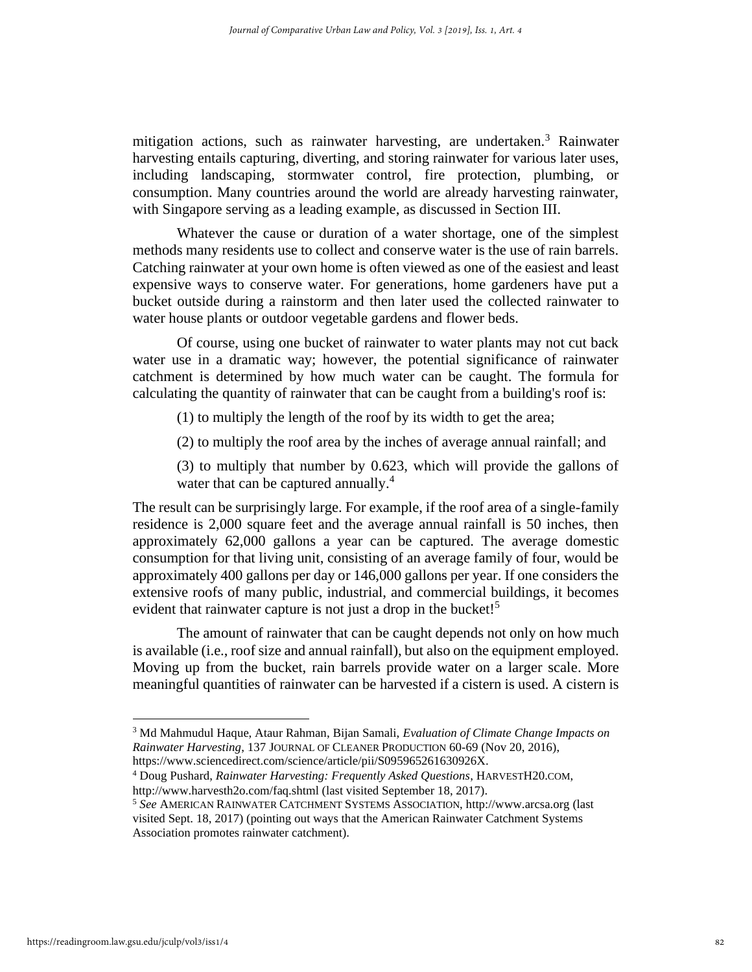mitigation actions, such as rainwater harvesting, are undertaken.<sup>3</sup> Rainwater harvesting entails capturing, diverting, and storing rainwater for various later uses, including landscaping, stormwater control, fire protection, plumbing, or consumption. Many countries around the world are already harvesting rainwater, with Singapore serving as a leading example, as discussed in Section III.

Whatever the cause or duration of a water shortage, one of the simplest methods many residents use to collect and conserve water is the use of rain barrels. Catching rainwater at your own home is often viewed as one of the easiest and least expensive ways to conserve water. For generations, home gardeners have put a bucket outside during a rainstorm and then later used the collected rainwater to water house plants or outdoor vegetable gardens and flower beds.

Of course, using one bucket of rainwater to water plants may not cut back water use in a dramatic way; however, the potential significance of rainwater catchment is determined by how much water can be caught. The formula for calculating the quantity of rainwater that can be caught from a building's roof is:

(1) to multiply the length of the roof by its width to get the area;

(2) to multiply the roof area by the inches of average annual rainfall; and

(3) to multiply that number by 0.623, which will provide the gallons of water that can be captured annually.<sup>4</sup>

The result can be surprisingly large. For example, if the roof area of a single-family residence is 2,000 square feet and the average annual rainfall is 50 inches, then approximately 62,000 gallons a year can be captured. The average domestic consumption for that living unit, consisting of an average family of four, would be approximately 400 gallons per day or 146,000 gallons per year. If one considers the extensive roofs of many public, industrial, and commercial buildings, it becomes evident that rainwater capture is not just a drop in the bucket!<sup>5</sup>

The amount of rainwater that can be caught depends not only on how much is available (i.e., roof size and annual rainfall), but also on the equipment employed. Moving up from the bucket, rain barrels provide water on a larger scale. More meaningful quantities of rainwater can be harvested if a cistern is used. A cistern is

<sup>3</sup> Md Mahmudul Haque, Ataur Rahman, Bijan Samali, *Evaluation of Climate Change Impacts on Rainwater Harvesting*, 137 JOURNAL OF CLEANER PRODUCTION 60-69 (Nov 20, 2016), https://www.sciencedirect.com/science/article/pii/S095965261630926X.

<sup>4</sup> Doug Pushard, *Rainwater Harvesting: Frequently Asked Questions*, HARVESTH20.COM, http://www.harvesth2o.com/faq.shtml (last visited September 18, 2017).

<sup>5</sup> *See* AMERICAN RAINWATER CATCHMENT SYSTEMS ASSOCIATION, http://www.arcsa.org (last visited Sept. 18, 2017) (pointing out ways that the American Rainwater Catchment Systems Association promotes rainwater catchment).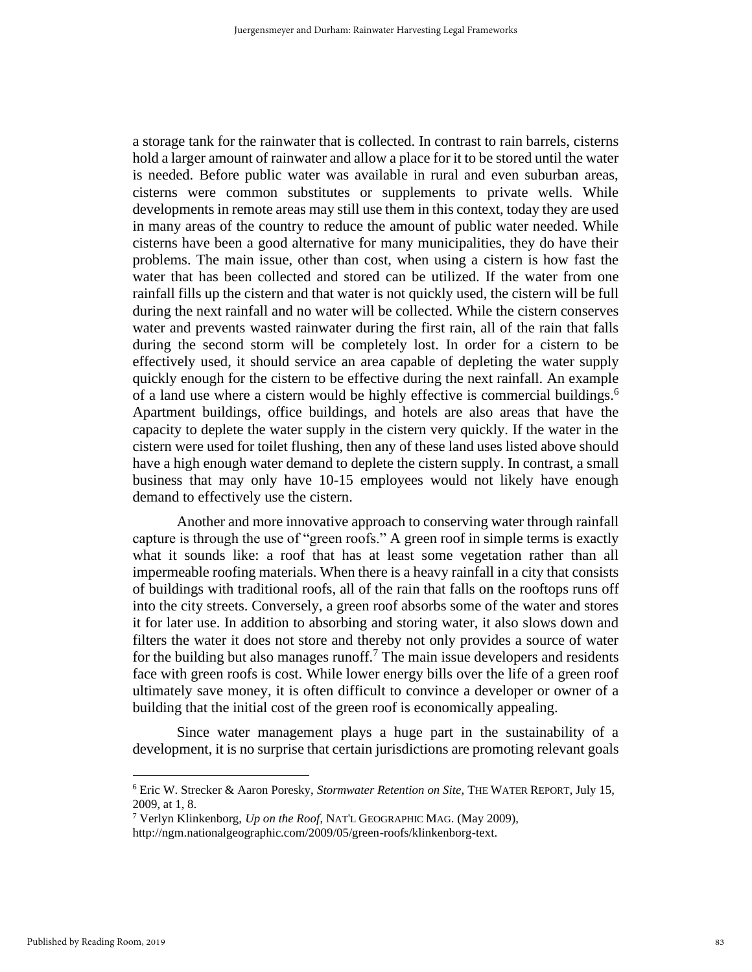a storage tank for the rainwater that is collected. In contrast to rain barrels, cisterns hold a larger amount of rainwater and allow a place for it to be stored until the water is needed. Before public water was available in rural and even suburban areas, cisterns were common substitutes or supplements to private wells. While developments in remote areas may still use them in this context, today they are used in many areas of the country to reduce the amount of public water needed. While cisterns have been a good alternative for many municipalities, they do have their problems. The main issue, other than cost, when using a cistern is how fast the water that has been collected and stored can be utilized. If the water from one rainfall fills up the cistern and that water is not quickly used, the cistern will be full during the next rainfall and no water will be collected. While the cistern conserves water and prevents wasted rainwater during the first rain, all of the rain that falls during the second storm will be completely lost. In order for a cistern to be effectively used, it should service an area capable of depleting the water supply quickly enough for the cistern to be effective during the next rainfall. An example of a land use where a cistern would be highly effective is commercial buildings.<sup>6</sup> Apartment buildings, office buildings, and hotels are also areas that have the capacity to deplete the water supply in the cistern very quickly. If the water in the cistern were used for toilet flushing, then any of these land uses listed above should have a high enough water demand to deplete the cistern supply. In contrast, a small business that may only have 10-15 employees would not likely have enough demand to effectively use the cistern.

Another and more innovative approach to conserving water through rainfall capture is through the use of "green roofs." A green roof in simple terms is exactly what it sounds like: a roof that has at least some vegetation rather than all impermeable roofing materials. When there is a heavy rainfall in a city that consists of buildings with traditional roofs, all of the rain that falls on the rooftops runs off into the city streets. Conversely, a green roof absorbs some of the water and stores it for later use. In addition to absorbing and storing water, it also slows down and filters the water it does not store and thereby not only provides a source of water for the building but also manages runoff.<sup>7</sup> The main issue developers and residents face with green roofs is cost. While lower energy bills over the life of a green roof ultimately save money, it is often difficult to convince a developer or owner of a building that the initial cost of the green roof is economically appealing.

Since water management plays a huge part in the sustainability of a development, it is no surprise that certain jurisdictions are promoting relevant goals

<sup>6</sup> Eric W. Strecker & Aaron Poresky, *Stormwater Retention on Site*, THE WATER REPORT, July 15, 2009, at 1, 8.

<sup>7</sup> Verlyn Klinkenborg, *Up on the Roof*, NAT'L GEOGRAPHIC MAG. (May 2009),

http://ngm.nationalgeographic.com/2009/05/green-roofs/klinkenborg-text.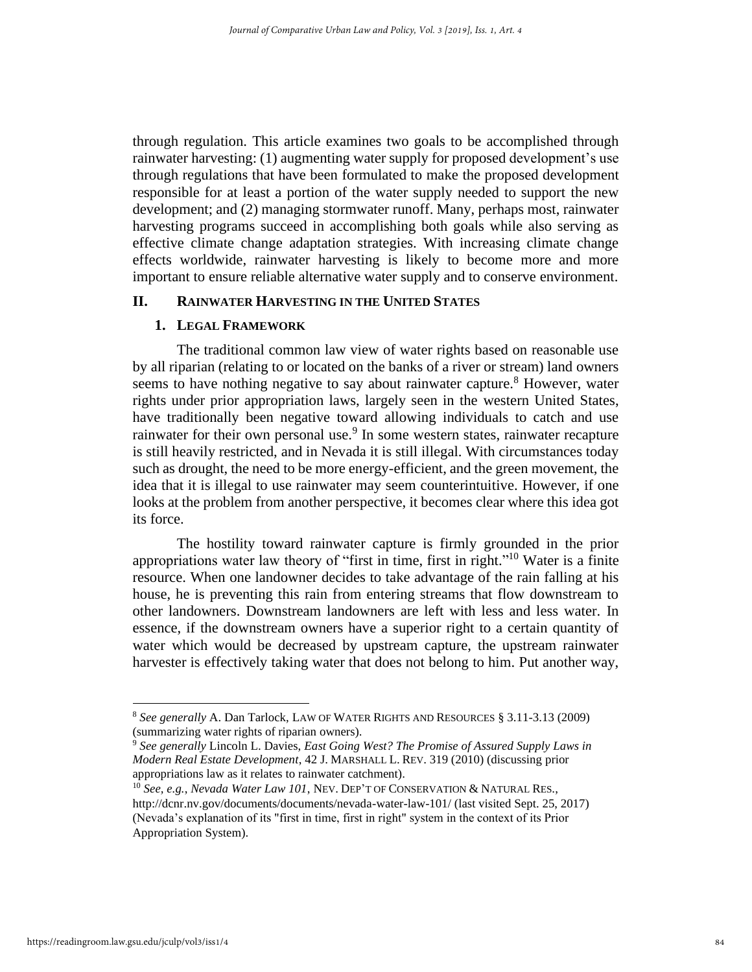through regulation. This article examines two goals to be accomplished through rainwater harvesting: (1) augmenting water supply for proposed development's use through regulations that have been formulated to make the proposed development responsible for at least a portion of the water supply needed to support the new development; and (2) managing stormwater runoff. Many, perhaps most, rainwater harvesting programs succeed in accomplishing both goals while also serving as effective climate change adaptation strategies. With increasing climate change effects worldwide, rainwater harvesting is likely to become more and more important to ensure reliable alternative water supply and to conserve environment.

#### **II. RAINWATER HARVESTING IN THE UNITED STATES**

#### **1. LEGAL FRAMEWORK**

The traditional common law view of water rights based on reasonable use by all riparian (relating to or located on the banks of a river or stream) land owners seems to have nothing negative to say about rainwater capture.<sup>8</sup> However, water rights under prior appropriation laws, largely seen in the western United States, have traditionally been negative toward allowing individuals to catch and use rainwater for their own personal use.<sup>9</sup> In some western states, rainwater recapture is still heavily restricted, and in Nevada it is still illegal. With circumstances today such as drought, the need to be more energy-efficient, and the green movement, the idea that it is illegal to use rainwater may seem counterintuitive. However, if one looks at the problem from another perspective, it becomes clear where this idea got its force.

The hostility toward rainwater capture is firmly grounded in the prior appropriations water law theory of "first in time, first in right." <sup>10</sup> Water is a finite resource. When one landowner decides to take advantage of the rain falling at his house, he is preventing this rain from entering streams that flow downstream to other landowners. Downstream landowners are left with less and less water. In essence, if the downstream owners have a superior right to a certain quantity of water which would be decreased by upstream capture, the upstream rainwater harvester is effectively taking water that does not belong to him. Put another way,

<sup>8</sup> *See generally* A. Dan Tarlock, LAW OF WATER RIGHTS AND RESOURCES § 3.11-3.13 (2009) (summarizing water rights of riparian owners).

<sup>9</sup> *See generally* Lincoln L. Davies, *East Going West? The Promise of Assured Supply Laws in Modern Real Estate Development*, 42 J. MARSHALL L. REV. 319 (2010) (discussing prior appropriations law as it relates to rainwater catchment).

<sup>10</sup> *See, e.g.*, *Nevada Water Law 101*, NEV. DEP'T OF CONSERVATION & NATURAL RES., http://dcnr.nv.gov/documents/documents/nevada-water-law-101/ (last visited Sept. 25, 2017) (Nevada's explanation of its "first in time, first in right" system in the context of its Prior Appropriation System).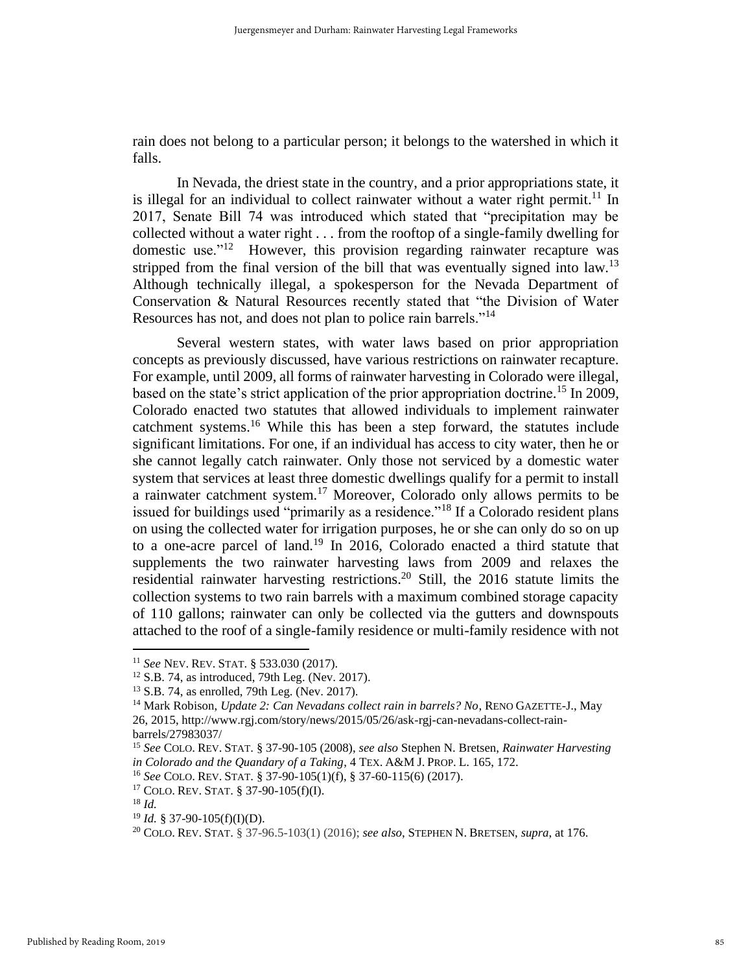rain does not belong to a particular person; it belongs to the watershed in which it falls.

In Nevada, the driest state in the country, and a prior appropriations state, it is illegal for an individual to collect rainwater without a water right permit.<sup>11</sup> In 2017, Senate Bill 74 was introduced which stated that "precipitation may be collected without a water right . . . from the rooftop of a single-family dwelling for domestic use." $12$  However, this provision regarding rainwater recapture was stripped from the final version of the bill that was eventually signed into law.<sup>13</sup> Although technically illegal, a spokesperson for the Nevada Department of Conservation & Natural Resources recently stated that "the Division of Water Resources has not, and does not plan to police rain barrels."<sup>14</sup>

Several western states, with water laws based on prior appropriation concepts as previously discussed, have various restrictions on rainwater recapture. For example, until 2009, all forms of rainwater harvesting in Colorado were illegal, based on the state's strict application of the prior appropriation doctrine.<sup>15</sup> In 2009, Colorado enacted two statutes that allowed individuals to implement rainwater catchment systems. <sup>16</sup> While this has been a step forward, the statutes include significant limitations. For one, if an individual has access to city water, then he or she cannot legally catch rainwater. Only those not serviced by a domestic water system that services at least three domestic dwellings qualify for a permit to install a rainwater catchment system.<sup>17</sup> Moreover, Colorado only allows permits to be issued for buildings used "primarily as a residence."<sup>18</sup> If a Colorado resident plans on using the collected water for irrigation purposes, he or she can only do so on up to a one-acre parcel of land.<sup>19</sup> In 2016, Colorado enacted a third statute that supplements the two rainwater harvesting laws from 2009 and relaxes the residential rainwater harvesting restrictions. <sup>20</sup> Still, the 2016 statute limits the collection systems to two rain barrels with a maximum combined storage capacity of 110 gallons; rainwater can only be collected via the gutters and downspouts attached to the roof of a single-family residence or multi-family residence with not

<sup>11</sup> *See* NEV. REV. STAT. § 533.030 (2017).

 $12$  S.B. 74, as introduced, 79th Leg. (Nev. 2017).

<sup>13</sup> S.B. 74, as enrolled, 79th Leg. (Nev. 2017).

<sup>14</sup> Mark Robison, *Update 2: Can Nevadans collect rain in barrels? No*, RENO GAZETTE-J., May 26, 2015, http://www.rgj.com/story/news/2015/05/26/ask-rgj-can-nevadans-collect-rainbarrels/27983037/

<sup>15</sup> *See* COLO. REV. STAT. § 37-90-105 (2008), *see also* Stephen N. Bretsen, *Rainwater Harvesting in Colorado and the Quandary of a Taking*, 4 TEX. A&M J. PROP. L. 165, 172.

<sup>16</sup> *See* COLO. REV. STAT. § 37-90-105(1)(f), § 37-60-115(6) (2017).

<sup>17</sup> COLO. REV. STAT. § 37-90-105(f)(I).

<sup>18</sup> *Id.*

<sup>19</sup> *Id.* § 37-90-105(f)(I)(D).

<sup>20</sup> COLO. REV. STAT. § 37-96.5-103(1) (2016); *see also*, STEPHEN N. BRETSEN, *supra*, at 176.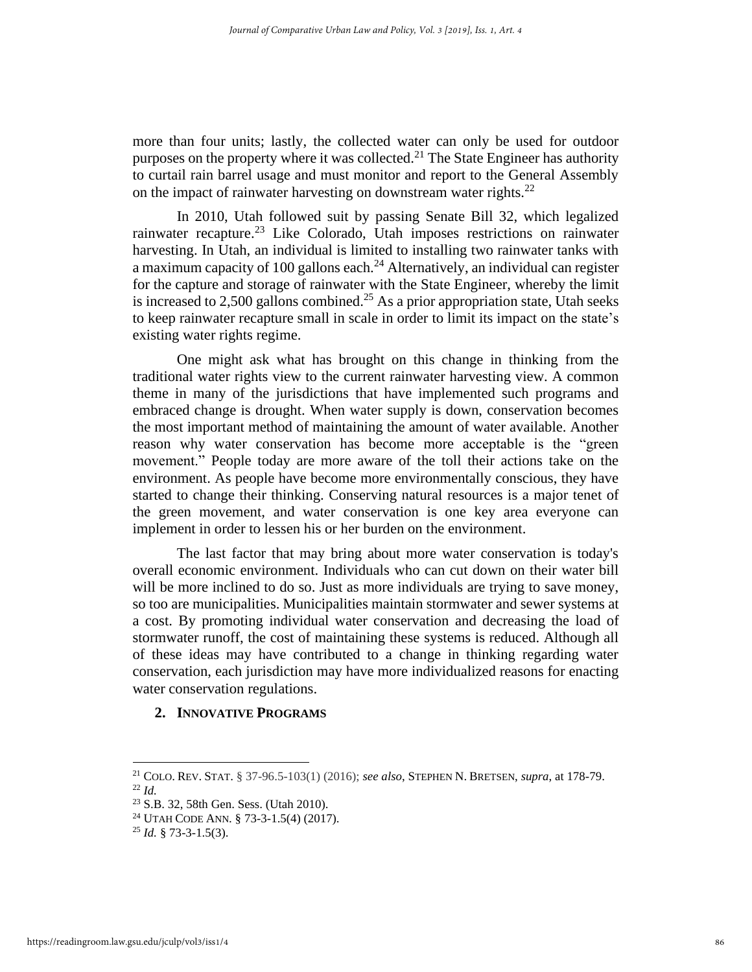more than four units; lastly, the collected water can only be used for outdoor purposes on the property where it was collected.<sup>21</sup> The State Engineer has authority to curtail rain barrel usage and must monitor and report to the General Assembly on the impact of rainwater harvesting on downstream water rights. $^{22}$ 

In 2010, Utah followed suit by passing Senate Bill 32, which legalized rainwater recapture.<sup>23</sup> Like Colorado, Utah imposes restrictions on rainwater harvesting. In Utah, an individual is limited to installing two rainwater tanks with a maximum capacity of 100 gallons each.<sup>24</sup> Alternatively, an individual can register for the capture and storage of rainwater with the State Engineer, whereby the limit is increased to  $2,500$  gallons combined.<sup>25</sup> As a prior appropriation state, Utah seeks to keep rainwater recapture small in scale in order to limit its impact on the state's existing water rights regime.

One might ask what has brought on this change in thinking from the traditional water rights view to the current rainwater harvesting view. A common theme in many of the jurisdictions that have implemented such programs and embraced change is drought. When water supply is down, conservation becomes the most important method of maintaining the amount of water available. Another reason why water conservation has become more acceptable is the "green movement." People today are more aware of the toll their actions take on the environment. As people have become more environmentally conscious, they have started to change their thinking. Conserving natural resources is a major tenet of the green movement, and water conservation is one key area everyone can implement in order to lessen his or her burden on the environment.

The last factor that may bring about more water conservation is today's overall economic environment. Individuals who can cut down on their water bill will be more inclined to do so. Just as more individuals are trying to save money, so too are municipalities. Municipalities maintain stormwater and sewer systems at a cost. By promoting individual water conservation and decreasing the load of stormwater runoff, the cost of maintaining these systems is reduced. Although all of these ideas may have contributed to a change in thinking regarding water conservation, each jurisdiction may have more individualized reasons for enacting water conservation regulations.

#### **2. INNOVATIVE PROGRAMS**

<sup>21</sup> COLO. REV. STAT. § 37-96.5-103(1) (2016); *see also*, STEPHEN N. BRETSEN, *supra*, at 178-79. <sup>22</sup> *Id.*

<sup>23</sup> S.B. 32, 58th Gen. Sess. (Utah 2010).

<sup>24</sup> UTAH CODE ANN. § 73-3-1.5(4) (2017).

 $^{25}$  *Id.* § 73-3-1.5(3).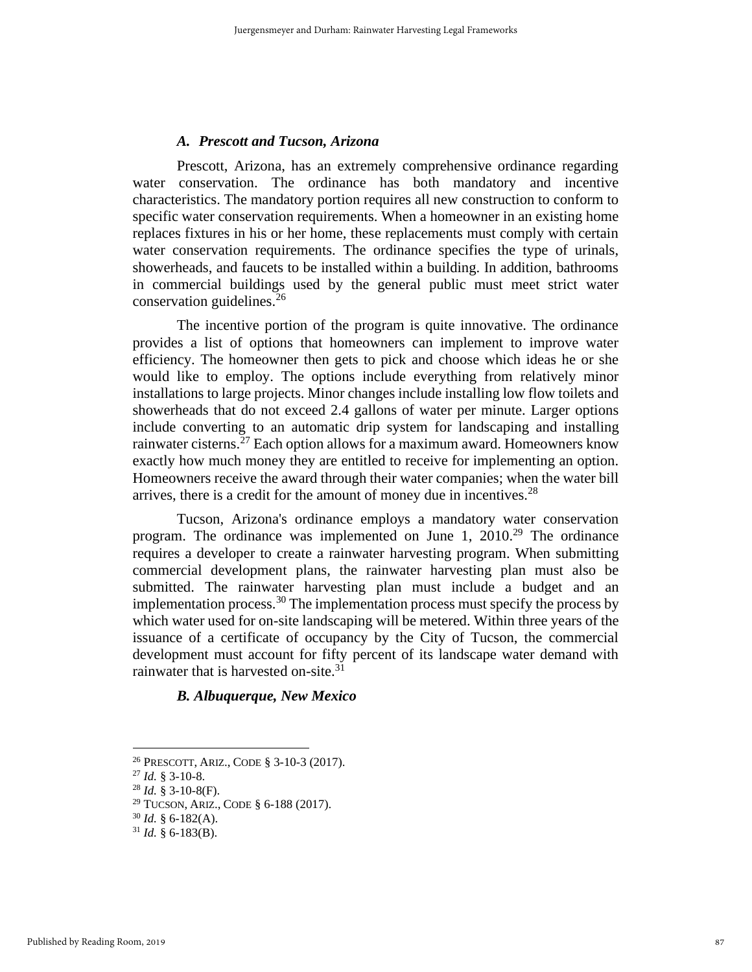#### *A. Prescott and Tucson, Arizona*

Prescott, Arizona, has an extremely comprehensive ordinance regarding water conservation. The ordinance has both mandatory and incentive characteristics. The mandatory portion requires all new construction to conform to specific water conservation requirements. When a homeowner in an existing home replaces fixtures in his or her home, these replacements must comply with certain water conservation requirements. The ordinance specifies the type of urinals, showerheads, and faucets to be installed within a building. In addition, bathrooms in commercial buildings used by the general public must meet strict water conservation guidelines.<sup>26</sup>

The incentive portion of the program is quite innovative. The ordinance provides a list of options that homeowners can implement to improve water efficiency. The homeowner then gets to pick and choose which ideas he or she would like to employ. The options include everything from relatively minor installations to large projects. Minor changes include installing low flow toilets and showerheads that do not exceed 2.4 gallons of water per minute. Larger options include converting to an automatic drip system for landscaping and installing rainwater cisterns.<sup>27</sup> Each option allows for a maximum award. Homeowners know exactly how much money they are entitled to receive for implementing an option. Homeowners receive the award through their water companies; when the water bill arrives, there is a credit for the amount of money due in incentives. $28$ 

Tucson, Arizona's ordinance employs a mandatory water conservation program. The ordinance was implemented on June 1,  $2010^{29}$  The ordinance requires a developer to create a rainwater harvesting program. When submitting commercial development plans, the rainwater harvesting plan must also be submitted. The rainwater harvesting plan must include a budget and an implementation process.<sup>30</sup> The implementation process must specify the process by which water used for on-site landscaping will be metered. Within three years of the issuance of a certificate of occupancy by the City of Tucson, the commercial development must account for fifty percent of its landscape water demand with rainwater that is harvested on-site.<sup>31</sup>

## *B. Albuquerque, New Mexico*

<sup>26</sup> PRESCOTT, ARIZ., CODE § 3-10-3 (2017).

<sup>27</sup> *Id.* § 3-10-8.

<sup>28</sup> *Id.* § 3-10-8(F).

<sup>29</sup> TUCSON, ARIZ., CODE § 6-188 (2017).

 $30$  *Id.* § 6-182(A).

 $31$  *Id.* § 6-183(B).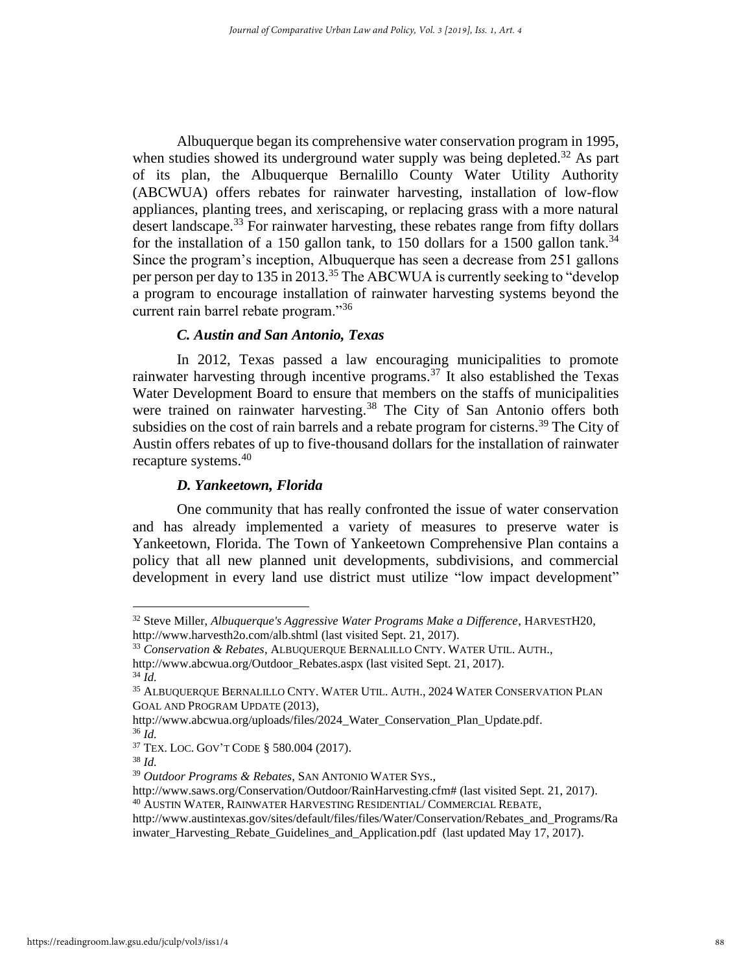Albuquerque began its comprehensive water conservation program in 1995, when studies showed its underground water supply was being depleted.<sup>32</sup> As part of its plan, the Albuquerque Bernalillo County Water Utility Authority (ABCWUA) offers rebates for rainwater harvesting, installation of low-flow appliances, planting trees, and xeriscaping, or replacing grass with a more natural desert landscape.<sup>33</sup> For rainwater harvesting, these rebates range from fifty dollars for the installation of a 150 gallon tank, to 150 dollars for a 1500 gallon tank.<sup>34</sup> Since the program's inception, Albuquerque has seen a decrease from 251 gallons per person per day to 135 in 2013.<sup>35</sup> The ABCWUA is currently seeking to "develop" a program to encourage installation of rainwater harvesting systems beyond the current rain barrel rebate program."<sup>36</sup>

#### *C. Austin and San Antonio, Texas*

In 2012, Texas passed a law encouraging municipalities to promote rainwater harvesting through incentive programs.<sup>37</sup> It also established the Texas Water Development Board to ensure that members on the staffs of municipalities were trained on rainwater harvesting.<sup>38</sup> The City of San Antonio offers both subsidies on the cost of rain barrels and a rebate program for cisterns.<sup>39</sup> The City of Austin offers rebates of up to five-thousand dollars for the installation of rainwater recapture systems.<sup>40</sup>

#### *D. Yankeetown, Florida*

One community that has really confronted the issue of water conservation and has already implemented a variety of measures to preserve water is Yankeetown, Florida. The Town of Yankeetown Comprehensive Plan contains a policy that all new planned unit developments, subdivisions, and commercial development in every land use district must utilize "low impact development"

<sup>32</sup> Steve Miller, *Albuquerque's Aggressive Water Programs Make a Difference*, HARVESTH20, http://www.harvesth2o.com/alb.shtml (last visited Sept. 21, 2017).

<sup>33</sup> *Conservation & Rebates*, ALBUQUERQUE BERNALILLO CNTY. WATER UTIL. AUTH.,

http://www.abcwua.org/Outdoor\_Rebates.aspx (last visited Sept. 21, 2017). <sup>34</sup> *Id.*

<sup>35</sup> ALBUQUERQUE BERNALILLO CNTY. WATER UTIL. AUTH., 2024 WATER CONSERVATION PLAN GOAL AND PROGRAM UPDATE (2013),

http://www.abcwua.org/uploads/files/2024\_Water\_Conservation\_Plan\_Update.pdf. <sup>36</sup> *Id.*

<sup>37</sup> TEX. LOC. GOV'T CODE § 580.004 (2017).

<sup>38</sup> *Id.*

<sup>39</sup> *Outdoor Programs & Rebates*, SAN ANTONIO WATER SYS.,

http://www.saws.org/Conservation/Outdoor/RainHarvesting.cfm# (last visited Sept. 21, 2017).

<sup>40</sup> AUSTIN WATER, RAINWATER HARVESTING RESIDENTIAL/ COMMERCIAL REBATE,

http://www.austintexas.gov/sites/default/files/files/Water/Conservation/Rebates\_and\_Programs/Ra inwater Harvesting Rebate Guidelines and Application.pdf (last updated May 17, 2017).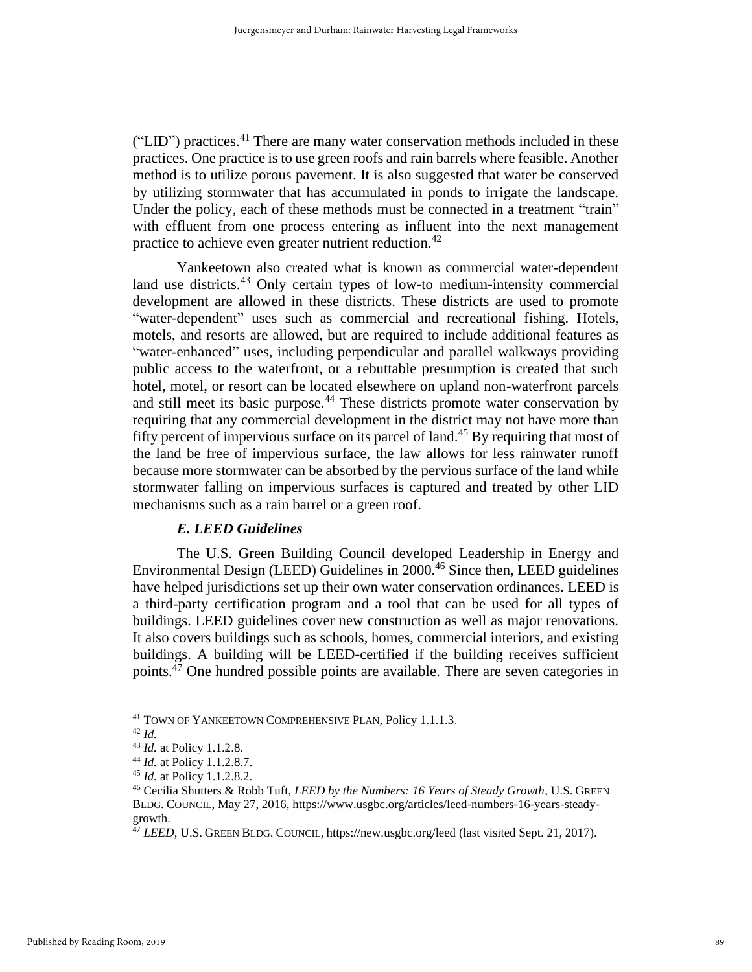("LID") practices.<sup>41</sup> There are many water conservation methods included in these practices. One practice is to use green roofs and rain barrels where feasible. Another method is to utilize porous pavement. It is also suggested that water be conserved by utilizing stormwater that has accumulated in ponds to irrigate the landscape. Under the policy, each of these methods must be connected in a treatment "train" with effluent from one process entering as influent into the next management practice to achieve even greater nutrient reduction.<sup>42</sup>

Yankeetown also created what is known as commercial water-dependent land use districts.<sup>43</sup> Only certain types of low-to medium-intensity commercial development are allowed in these districts. These districts are used to promote "water-dependent" uses such as commercial and recreational fishing. Hotels, motels, and resorts are allowed, but are required to include additional features as "water-enhanced" uses, including perpendicular and parallel walkways providing public access to the waterfront, or a rebuttable presumption is created that such hotel, motel, or resort can be located elsewhere on upland non-waterfront parcels and still meet its basic purpose.<sup>44</sup> These districts promote water conservation by requiring that any commercial development in the district may not have more than fifty percent of impervious surface on its parcel of land.<sup>45</sup> By requiring that most of the land be free of impervious surface, the law allows for less rainwater runoff because more stormwater can be absorbed by the pervious surface of the land while stormwater falling on impervious surfaces is captured and treated by other LID mechanisms such as a rain barrel or a green roof.

#### *E. LEED Guidelines*

The U.S. Green Building Council developed Leadership in Energy and Environmental Design (LEED) Guidelines in 2000.<sup>46</sup> Since then, LEED guidelines have helped jurisdictions set up their own water conservation ordinances. LEED is a third-party certification program and a tool that can be used for all types of buildings. LEED guidelines cover new construction as well as major renovations. It also covers buildings such as schools, homes, commercial interiors, and existing buildings. A building will be LEED-certified if the building receives sufficient points.<sup>47</sup> One hundred possible points are available. There are seven categories in

<sup>41</sup> TOWN OF YANKEETOWN COMPREHENSIVE PLAN, Policy 1.1.1.3.

<sup>42</sup> *Id.*

<sup>43</sup> *Id.* at Policy 1.1.2.8.

<sup>44</sup> *Id.* at Policy 1.1.2.8.7.

<sup>45</sup> *Id.* at Policy 1.1.2.8.2.

<sup>46</sup> Cecilia Shutters & Robb Tuft, *LEED by the Numbers: 16 Years of Steady Growth*, U.S. GREEN BLDG. COUNCIL, May 27, 2016, https://www.usgbc.org/articles/leed-numbers-16-years-steadygrowth.

<sup>&</sup>lt;sup>47</sup> *LEED*, U.S. GREEN BLDG. COUNCIL, https://new.usgbc.org/leed (last visited Sept. 21, 2017).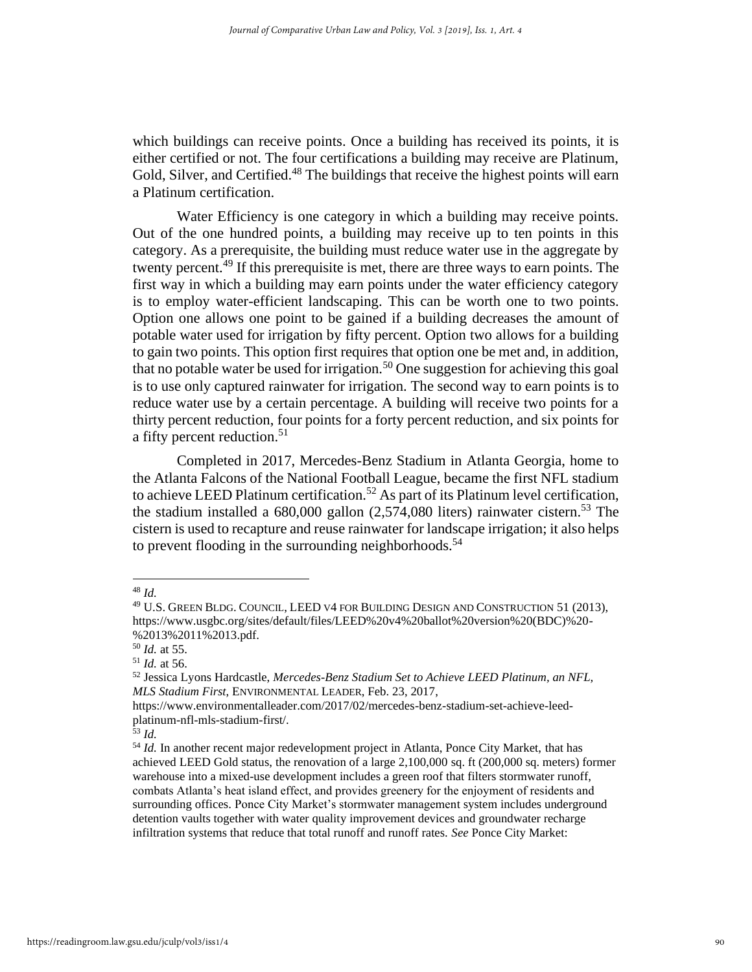which buildings can receive points. Once a building has received its points, it is either certified or not. The four certifications a building may receive are Platinum, Gold, Silver, and Certified.<sup>48</sup> The buildings that receive the highest points will earn a Platinum certification.

Water Efficiency is one category in which a building may receive points. Out of the one hundred points, a building may receive up to ten points in this category. As a prerequisite, the building must reduce water use in the aggregate by twenty percent.<sup>49</sup> If this prerequisite is met, there are three ways to earn points. The first way in which a building may earn points under the water efficiency category is to employ water-efficient landscaping. This can be worth one to two points. Option one allows one point to be gained if a building decreases the amount of potable water used for irrigation by fifty percent. Option two allows for a building to gain two points. This option first requires that option one be met and, in addition, that no potable water be used for irrigation.<sup>50</sup> One suggestion for achieving this goal is to use only captured rainwater for irrigation. The second way to earn points is to reduce water use by a certain percentage. A building will receive two points for a thirty percent reduction, four points for a forty percent reduction, and six points for a fifty percent reduction.<sup>51</sup>

Completed in 2017, Mercedes-Benz Stadium in Atlanta Georgia, home to the Atlanta Falcons of the National Football League, became the first NFL stadium to achieve LEED Platinum certification.<sup>52</sup> As part of its Platinum level certification, the stadium installed a  $680,000$  gallon  $(2,574,080)$  liters) rainwater cistern.<sup>53</sup> The cistern is used to recapture and reuse rainwater for landscape irrigation; it also helps to prevent flooding in the surrounding neighborhoods.<sup>54</sup>

<sup>48</sup> *Id.*

<sup>49</sup> U.S. GREEN BLDG. COUNCIL, LEED V4 FOR BUILDING DESIGN AND CONSTRUCTION 51 (2013), https://www.usgbc.org/sites/default/files/LEED%20v4%20ballot%20version%20(BDC)%20- %2013%2011%2013.pdf.

<sup>50</sup> *Id.* at 55.

<sup>51</sup> *Id.* at 56.

<sup>52</sup> Jessica Lyons Hardcastle, *Mercedes-Benz Stadium Set to Achieve LEED Platinum, an NFL, MLS Stadium First*, ENVIRONMENTAL LEADER, Feb. 23, 2017,

https://www.environmentalleader.com/2017/02/mercedes-benz-stadium-set-achieve-leedplatinum-nfl-mls-stadium-first/.

<sup>53</sup> *Id.*

<sup>&</sup>lt;sup>54</sup> *Id.* In another recent major redevelopment project in Atlanta, Ponce City Market, that has achieved LEED Gold status, the renovation of a large 2,100,000 sq. ft (200,000 sq. meters) former warehouse into a mixed-use development includes a green roof that filters stormwater runoff, combats Atlanta's heat island effect, and provides greenery for the enjoyment of residents and surrounding offices. Ponce City Market's stormwater management system includes underground detention vaults together with water quality improvement devices and groundwater recharge infiltration systems that reduce that total runoff and runoff rates. *See* Ponce City Market: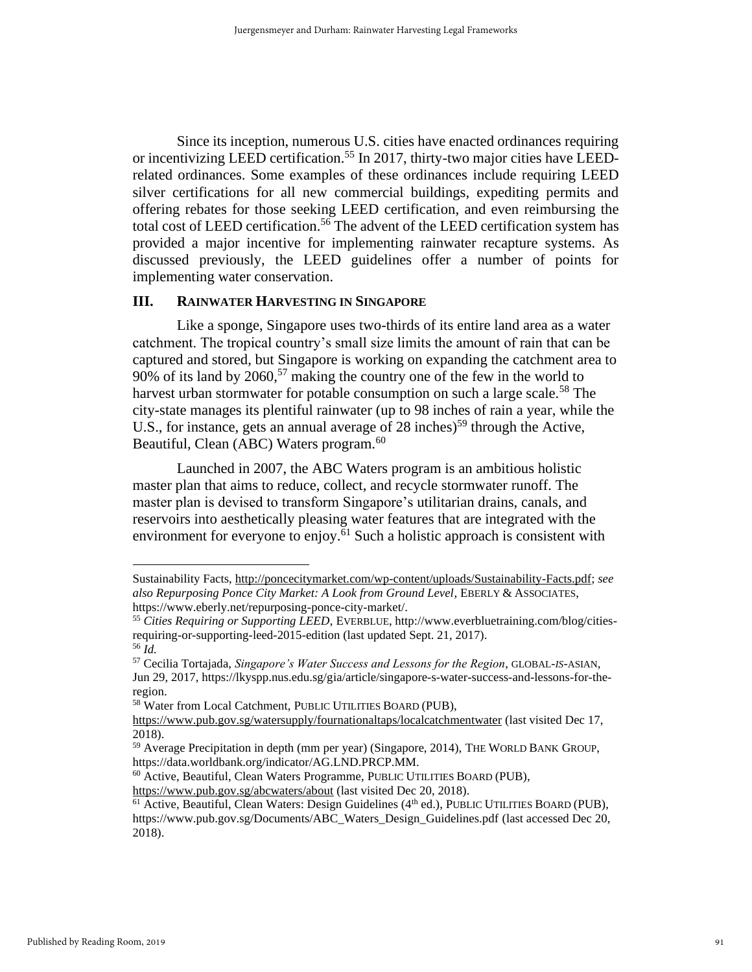Since its inception, numerous U.S. cities have enacted ordinances requiring or incentivizing LEED certification.<sup>55</sup> In 2017, thirty-two major cities have LEEDrelated ordinances. Some examples of these ordinances include requiring LEED silver certifications for all new commercial buildings, expediting permits and offering rebates for those seeking LEED certification, and even reimbursing the total cost of LEED certification.<sup>56</sup> The advent of the LEED certification system has provided a major incentive for implementing rainwater recapture systems. As discussed previously, the LEED guidelines offer a number of points for implementing water conservation.

#### **III. RAINWATER HARVESTING IN SINGAPORE**

Like a sponge, Singapore uses two-thirds of its entire land area as a water catchment. The tropical country's small size limits the amount of rain that can be captured and stored, but Singapore is working on expanding the catchment area to 90% of its land by  $2060$ <sup>57</sup> making the country one of the few in the world to harvest urban stormwater for potable consumption on such a large scale.<sup>58</sup> The city-state manages its plentiful rainwater (up to 98 inches of rain a year, while the U.S., for instance, gets an annual average of 28 inches)<sup>59</sup> through the Active, Beautiful, Clean (ABC) Waters program.<sup>60</sup>

Launched in 2007, the ABC Waters program is an ambitious holistic master plan that aims to reduce, collect, and recycle stormwater runoff. The master plan is devised to transform Singapore's utilitarian drains, canals, and reservoirs into aesthetically pleasing water features that are integrated with the environment for everyone to enjoy. $\frac{61}{61}$  Such a holistic approach is consistent with

<sup>60</sup> Active, Beautiful, Clean Waters Programme, PUBLIC UTILITIES BOARD (PUB), <https://www.pub.gov.sg/abcwaters/about> (last visited Dec 20, 2018).

Sustainability Facts, [http://poncecitymarket.com/wp-content/uploads/Sustainability-Facts.pdf;](http://poncecitymarket.com/wp-content/uploads/Sustainability-Facts.pdf) *see also Repurposing Ponce City Market: A Look from Ground Level*, EBERLY & ASSOCIATES, https://www.eberly.net/repurposing-ponce-city-market/.

<sup>55</sup> *Cities Requiring or Supporting LEED*, EVERBLUE, http://www.everbluetraining.com/blog/citiesrequiring-or-supporting-leed-2015-edition (last updated Sept. 21, 2017). <sup>56</sup> *Id.*

<sup>57</sup> Cecilia Tortajada, *Singapore's Water Success and Lessons for the Region*, GLOBAL-*IS*-ASIAN, Jun 29, 2017, https://lkyspp.nus.edu.sg/gia/article/singapore-s-water-success-and-lessons-for-theregion.

<sup>58</sup> Water from Local Catchment, PUBLIC UTILITIES BOARD (PUB),

<https://www.pub.gov.sg/watersupply/fournationaltaps/localcatchmentwater> (last visited Dec 17, 2018).

<sup>59</sup> Average Precipitation in depth (mm per year) (Singapore, 2014), THE WORLD BANK GROUP, https://data.worldbank.org/indicator/AG.LND.PRCP.MM.

<sup>&</sup>lt;sup>61</sup> Active, Beautiful, Clean Waters: Design Guidelines (4<sup>th</sup> ed.), PUBLIC UTILITIES BOARD (PUB),

https://www.pub.gov.sg/Documents/ABC\_Waters\_Design\_Guidelines.pdf (last accessed Dec 20, 2018).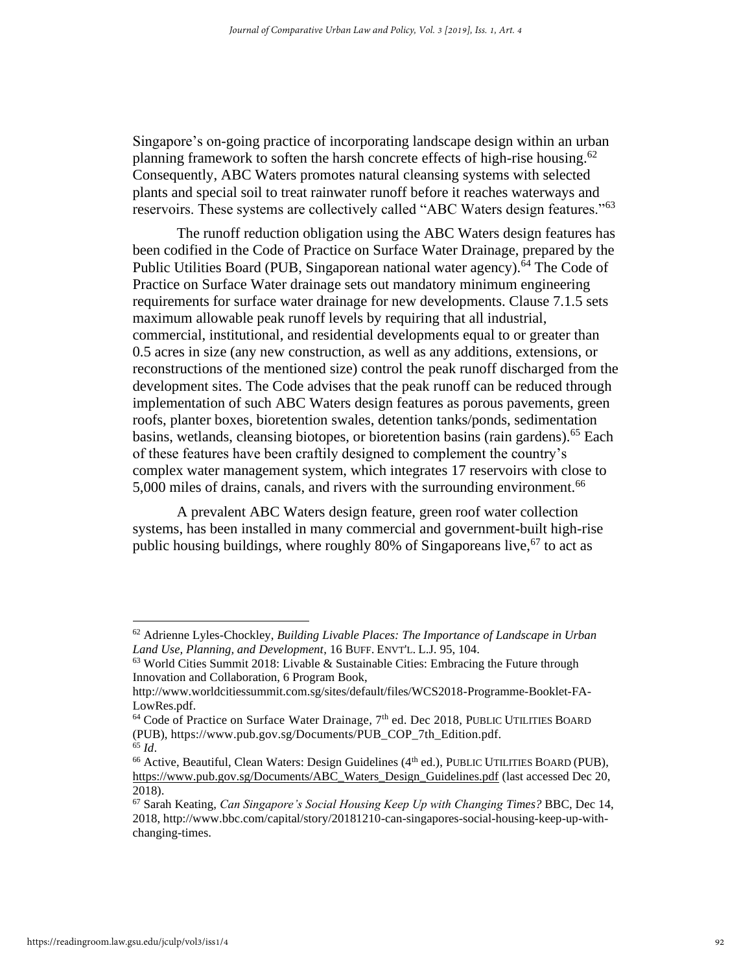Singapore's on-going practice of incorporating landscape design within an urban planning framework to soften the harsh concrete effects of high-rise housing.<sup>62</sup> Consequently, ABC Waters promotes natural cleansing systems with selected plants and special soil to treat rainwater runoff before it reaches waterways and reservoirs. These systems are collectively called "ABC Waters design features."<sup>63</sup>

The runoff reduction obligation using the ABC Waters design features has been codified in the Code of Practice on Surface Water Drainage, prepared by the Public Utilities Board (PUB, Singaporean national water agency).<sup>64</sup> The Code of Practice on Surface Water drainage sets out mandatory minimum engineering requirements for surface water drainage for new developments. Clause 7.1.5 sets maximum allowable peak runoff levels by requiring that all industrial, commercial, institutional, and residential developments equal to or greater than 0.5 acres in size (any new construction, as well as any additions, extensions, or reconstructions of the mentioned size) control the peak runoff discharged from the development sites. The Code advises that the peak runoff can be reduced through implementation of such ABC Waters design features as porous pavements, green roofs, planter boxes, bioretention swales, detention tanks/ponds, sedimentation basins, wetlands, cleansing biotopes, or bioretention basins (rain gardens).<sup>65</sup> Each of these features have been craftily designed to complement the country's complex water management system, which integrates 17 reservoirs with close to 5,000 miles of drains, canals, and rivers with the surrounding environment.<sup>66</sup>

A prevalent ABC Waters design feature, green roof water collection systems, has been installed in many commercial and government-built high-rise public housing buildings, where roughly 80% of Singaporeans live,  $67$  to act as

<sup>62</sup> Adrienne Lyles-Chockley, *Building Livable Places: The Importance of Landscape in Urban Land Use, Planning, and Development*, 16 BUFF. ENVT'L. L.J. 95, 104.

<sup>63</sup> World Cities Summit 2018: Livable & Sustainable Cities: Embracing the Future through Innovation and Collaboration, 6 Program Book,

http://www.worldcitiessummit.com.sg/sites/default/files/WCS2018-Programme-Booklet-FA-LowRes.pdf.

<sup>&</sup>lt;sup>64</sup> Code of Practice on Surface Water Drainage, 7<sup>th</sup> ed. Dec 2018, PUBLIC UTILITIES BOARD (PUB), https://www.pub.gov.sg/Documents/PUB\_COP\_7th\_Edition.pdf. <sup>65</sup> *Id*.

<sup>&</sup>lt;sup>66</sup> Active, Beautiful, Clean Waters: Design Guidelines (4<sup>th</sup> ed.), PUBLIC UTILITIES BOARD (PUB), [https://www.pub.gov.sg/Documents/ABC\\_Waters\\_Design\\_Guidelines.pdf](https://www.pub.gov.sg/Documents/ABC_Waters_Design_Guidelines.pdf) (last accessed Dec 20, 2018).

<sup>67</sup> Sarah Keating, *Can Singapore's Social Housing Keep Up with Changing Times?* BBC, Dec 14, 2018, http://www.bbc.com/capital/story/20181210-can-singapores-social-housing-keep-up-withchanging-times.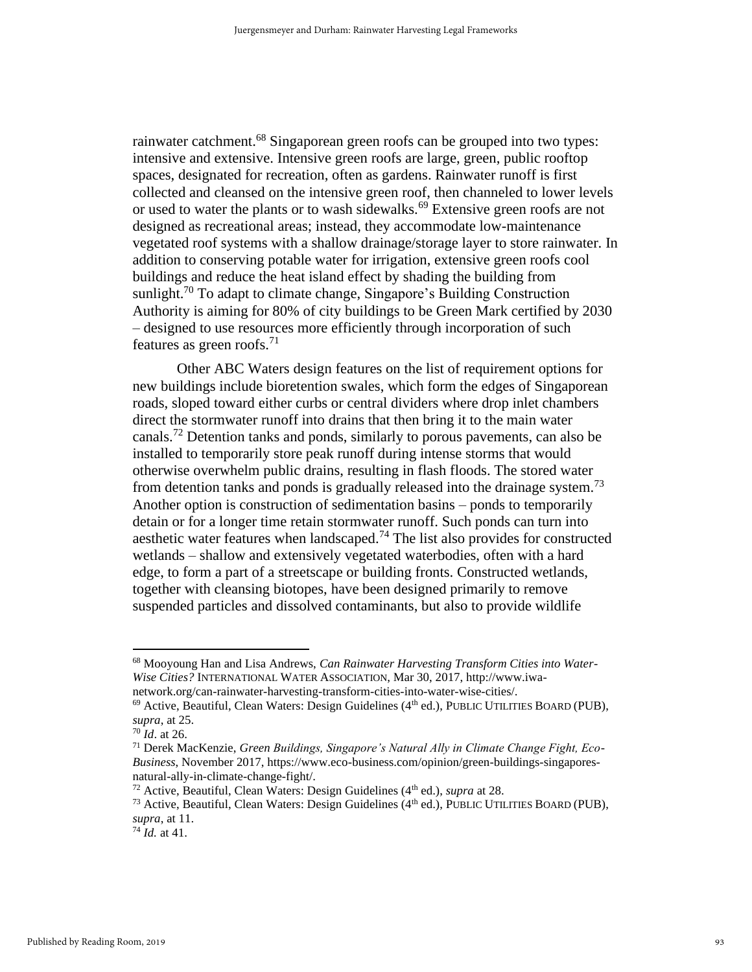rainwater catchment.<sup>68</sup> Singaporean green roofs can be grouped into two types: intensive and extensive. Intensive green roofs are large, green, public rooftop spaces, designated for recreation, often as gardens. Rainwater runoff is first collected and cleansed on the intensive green roof, then channeled to lower levels or used to water the plants or to wash sidewalks.<sup>69</sup> Extensive green roofs are not designed as recreational areas; instead, they accommodate low-maintenance vegetated roof systems with a shallow drainage/storage layer to store rainwater. In addition to conserving potable water for irrigation, extensive green roofs cool buildings and reduce the heat island effect by shading the building from sunlight.<sup>70</sup> To adapt to climate change, Singapore's Building Construction Authority is aiming for 80% of city buildings to be Green Mark certified by 2030 – designed to use resources more efficiently through incorporation of such features as green roofs.<sup>71</sup>

Other ABC Waters design features on the list of requirement options for new buildings include bioretention swales, which form the edges of Singaporean roads, sloped toward either curbs or central dividers where drop inlet chambers direct the stormwater runoff into drains that then bring it to the main water canals.<sup>72</sup> Detention tanks and ponds, similarly to porous pavements, can also be installed to temporarily store peak runoff during intense storms that would otherwise overwhelm public drains, resulting in flash floods. The stored water from detention tanks and ponds is gradually released into the drainage system.<sup>73</sup> Another option is construction of sedimentation basins – ponds to temporarily detain or for a longer time retain stormwater runoff. Such ponds can turn into aesthetic water features when landscaped.<sup>74</sup> The list also provides for constructed wetlands – shallow and extensively vegetated waterbodies, often with a hard edge, to form a part of a streetscape or building fronts. Constructed wetlands, together with cleansing biotopes, have been designed primarily to remove suspended particles and dissolved contaminants, but also to provide wildlife

<sup>68</sup> Mooyoung Han and Lisa Andrews, *Can Rainwater Harvesting Transform Cities into Water-Wise Cities?* INTERNATIONAL WATER ASSOCIATION, Mar 30, 2017, http://www.iwanetwork.org/can-rainwater-harvesting-transform-cities-into-water-wise-cities/.

 $^{69}$  Active, Beautiful, Clean Waters: Design Guidelines ( $4^{th}$  ed.), PUBLIC UTILITIES BOARD (PUB), *supra*, at 25.

<sup>70</sup> *Id*. at 26.

<sup>71</sup> Derek MacKenzie, *Green Buildings, Singapore's Natural Ally in Climate Change Fight, Eco-Business*, November 2017, https://www.eco-business.com/opinion/green-buildings-singaporesnatural-ally-in-climate-change-fight/.

 $72$  Active, Beautiful, Clean Waters: Design Guidelines ( $4<sup>th</sup>$  ed.), *supra* at 28.

<sup>&</sup>lt;sup>73</sup> Active, Beautiful, Clean Waters: Design Guidelines ( $4<sup>th</sup>$  ed.), PUBLIC UTILITIES BOARD (PUB), *supra*, at 11.

 $74$  *Id.* at 41.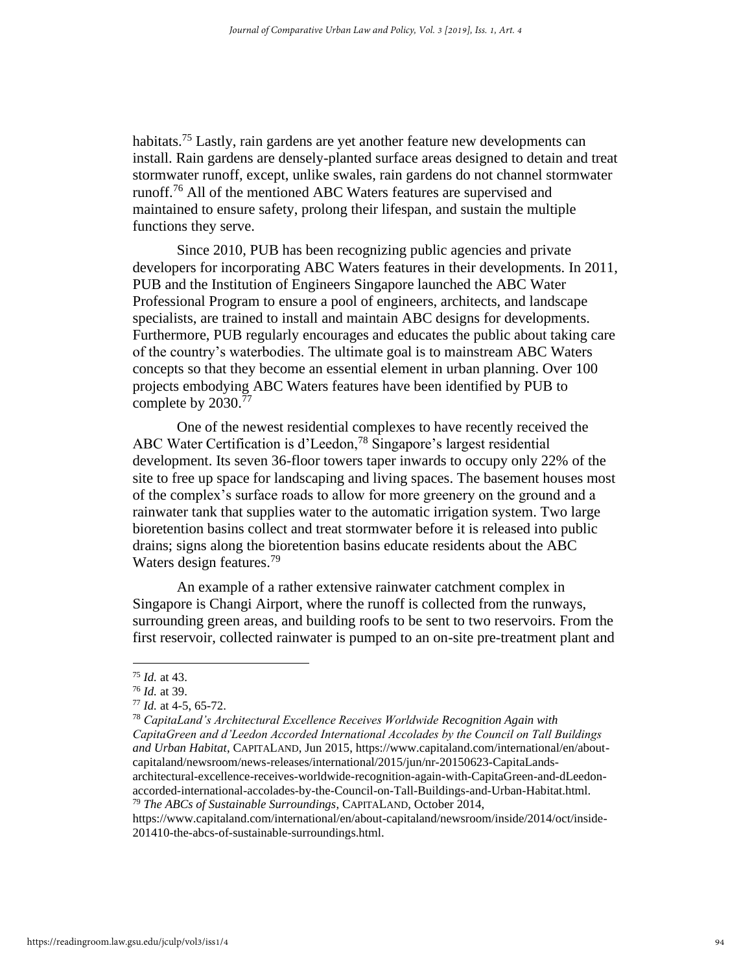habitats.<sup>75</sup> Lastly, rain gardens are yet another feature new developments can install. Rain gardens are densely-planted surface areas designed to detain and treat stormwater runoff, except, unlike swales, rain gardens do not channel stormwater runoff.<sup>76</sup> All of the mentioned ABC Waters features are supervised and maintained to ensure safety, prolong their lifespan, and sustain the multiple functions they serve.

Since 2010, PUB has been recognizing public agencies and private developers for incorporating ABC Waters features in their developments. In 2011, PUB and the Institution of Engineers Singapore launched the ABC Water Professional Program to ensure a pool of engineers, architects, and landscape specialists, are trained to install and maintain ABC designs for developments. Furthermore, PUB regularly encourages and educates the public about taking care of the country's waterbodies. The ultimate goal is to mainstream ABC Waters concepts so that they become an essential element in urban planning. Over 100 projects embodying ABC Waters features have been identified by PUB to complete by 2030.<sup>77</sup>

One of the newest residential complexes to have recently received the ABC Water Certification is d'Leedon,<sup>78</sup> Singapore's largest residential development. Its seven 36-floor towers taper inwards to occupy only 22% of the site to free up space for landscaping and living spaces. The basement houses most of the complex's surface roads to allow for more greenery on the ground and a rainwater tank that supplies water to the automatic irrigation system. Two large bioretention basins collect and treat stormwater before it is released into public drains; signs along the bioretention basins educate residents about the ABC Waters design features.<sup>79</sup>

An example of a rather extensive rainwater catchment complex in Singapore is Changi Airport, where the runoff is collected from the runways, surrounding green areas, and building roofs to be sent to two reservoirs. From the first reservoir, collected rainwater is pumped to an on-site pre-treatment plant and

<sup>78</sup> *CapitaLand's Architectural Excellence Receives Worldwide Recognition Again with CapitaGreen and d'Leedon Accorded International Accolades by the Council on Tall Buildings and Urban Habitat*, CAPITALAND, Jun 2015, https://www.capitaland.com/international/en/aboutcapitaland/newsroom/news-releases/international/2015/jun/nr-20150623-CapitaLandsarchitectural-excellence-receives-worldwide-recognition-again-with-CapitaGreen-and-dLeedonaccorded-international-accolades-by-the-Council-on-Tall-Buildings-and-Urban-Habitat.html.

<sup>79</sup> *The ABCs of Sustainable Surroundings*, CAPITALAND, October 2014,

https://www.capitaland.com/international/en/about-capitaland/newsroom/inside/2014/oct/inside-201410-the-abcs-of-sustainable-surroundings.html.

<sup>75</sup> *Id.* at 43.

<sup>76</sup> *Id.* at 39.

<sup>77</sup> *Id.* at 4-5, 65-72.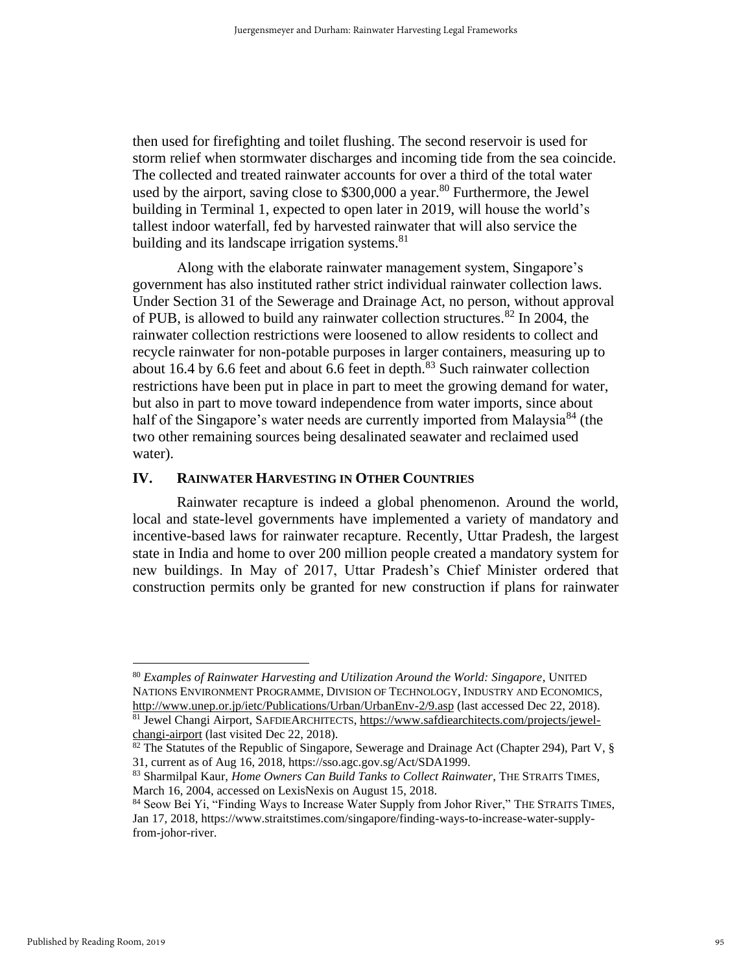then used for firefighting and toilet flushing. The second reservoir is used for storm relief when stormwater discharges and incoming tide from the sea coincide. The collected and treated rainwater accounts for over a third of the total water used by the airport, saving close to  $$300,000$  a year.<sup>80</sup> Furthermore, the Jewel building in Terminal 1, expected to open later in 2019, will house the world's tallest indoor waterfall, fed by harvested rainwater that will also service the building and its landscape irrigation systems. $81$ 

Along with the elaborate rainwater management system, Singapore's government has also instituted rather strict individual rainwater collection laws. Under Section 31 of the Sewerage and Drainage Act, no person, without approval of PUB, is allowed to build any rainwater collection structures. $82$  In 2004, the rainwater collection restrictions were loosened to allow residents to collect and recycle rainwater for non-potable purposes in larger containers, measuring up to about 16.4 by 6.6 feet and about 6.6 feet in depth. $83$  Such rainwater collection restrictions have been put in place in part to meet the growing demand for water, but also in part to move toward independence from water imports, since about half of the Singapore's water needs are currently imported from Malaysia<sup>84</sup> (the two other remaining sources being desalinated seawater and reclaimed used water).

#### **IV. RAINWATER HARVESTING IN OTHER COUNTRIES**

Rainwater recapture is indeed a global phenomenon. Around the world, local and state-level governments have implemented a variety of mandatory and incentive-based laws for rainwater recapture. Recently, Uttar Pradesh, the largest state in India and home to over 200 million people created a mandatory system for new buildings. In May of 2017, Uttar Pradesh's Chief Minister ordered that construction permits only be granted for new construction if plans for rainwater

<sup>80</sup> *Examples of Rainwater Harvesting and Utilization Around the World: Singapore*, UNITED NATIONS ENVIRONMENT PROGRAMME, DIVISION OF TECHNOLOGY, INDUSTRY AND ECONOMICS, <http://www.unep.or.jp/ietc/Publications/Urban/UrbanEnv-2/9.asp> (last accessed Dec 22, 2018). <sup>81</sup> Jewel Changi Airport, SAFDIEARCHITECTS, [https://www.safdiearchitects.com/projects/jewel-](https://www.safdiearchitects.com/projects/jewel-changi-airport)

[changi-airport](https://www.safdiearchitects.com/projects/jewel-changi-airport) (last visited Dec 22, 2018).

<sup>&</sup>lt;sup>82</sup> The Statutes of the Republic of Singapore, Sewerage and Drainage Act (Chapter 294), Part V,  $\S$ 31, current as of Aug 16, 2018, https://sso.agc.gov.sg/Act/SDA1999.

<sup>83</sup> Sharmilpal Kaur, *Home Owners Can Build Tanks to Collect Rainwater*, THE STRAITS TIMES, March 16, 2004, accessed on LexisNexis on August 15, 2018.

<sup>84</sup> Seow Bei Yi, "Finding Ways to Increase Water Supply from Johor River," THE STRAITS TIMES, Jan 17, 2018, https://www.straitstimes.com/singapore/finding-ways-to-increase-water-supplyfrom-johor-river.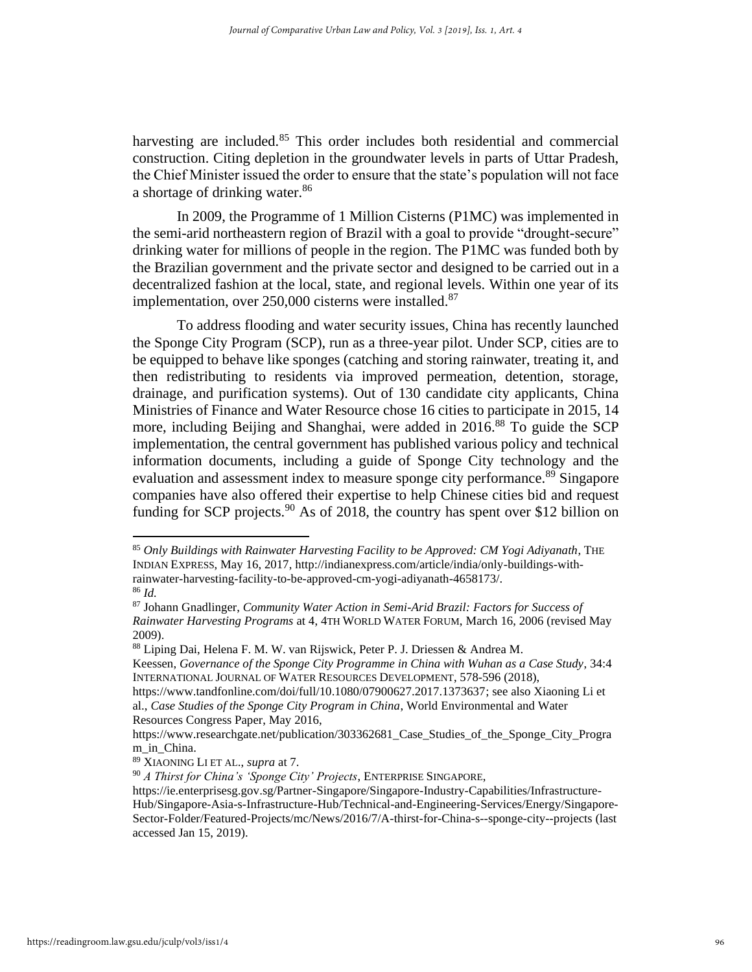harvesting are included.<sup>85</sup> This order includes both residential and commercial construction. Citing depletion in the groundwater levels in parts of Uttar Pradesh, the Chief Minister issued the order to ensure that the state's population will not face a shortage of drinking water.<sup>86</sup>

In 2009, the Programme of 1 Million Cisterns (P1MC) was implemented in the semi-arid northeastern region of Brazil with a goal to provide "drought-secure" drinking water for millions of people in the region. The P1MC was funded both by the Brazilian government and the private sector and designed to be carried out in a decentralized fashion at the local, state, and regional levels. Within one year of its implementation, over  $250,000$  cisterns were installed.<sup>87</sup>

To address flooding and water security issues, China has recently launched the Sponge City Program (SCP), run as a three-year pilot. Under SCP, cities are to be equipped to behave like sponges (catching and storing rainwater, treating it, and then redistributing to residents via improved permeation, detention, storage, drainage, and purification systems). Out of 130 candidate city applicants, China Ministries of Finance and Water Resource chose 16 cities to participate in 2015, 14 more, including Beijing and Shanghai, were added in 2016.<sup>88</sup> To guide the SCP implementation, the central government has published various policy and technical information documents, including a guide of Sponge City technology and the evaluation and assessment index to measure sponge city performance.<sup>89</sup> Singapore companies have also offered their expertise to help Chinese cities bid and request funding for SCP projects.<sup>90</sup> As of 2018, the country has spent over \$12 billion on

<sup>88</sup> Liping Dai, Helena F. M. W. van Rijswick, Peter P. J. Driessen & Andrea M.

<sup>85</sup> *Only Buildings with Rainwater Harvesting Facility to be Approved: CM Yogi Adiyanath*, THE INDIAN EXPRESS, May 16, 2017, http://indianexpress.com/article/india/only-buildings-withrainwater-harvesting-facility-to-be-approved-cm-yogi-adiyanath-4658173/.

<sup>86</sup> *Id.*

<sup>87</sup> Johann Gnadlinger, *Community Water Action in Semi-Arid Brazil: Factors for Success of Rainwater Harvesting Programs* at 4, 4TH WORLD WATER FORUM, March 16, 2006 (revised May 2009).

Keessen, *Governance of the Sponge City Programme in China with Wuhan as a Case Study*, 34:4 INTERNATIONAL JOURNAL OF WATER RESOURCES DEVELOPMENT, 578-596 (2018),

[https://www.tandfonline.com/doi/full/10.1080/07900627.2017.1373637;](https://www.tandfonline.com/doi/full/10.1080/07900627.2017.1373637) see also Xiaoning Li et al., *Case Studies of the Sponge City Program in China*, World Environmental and Water Resources Congress Paper, May 2016,

https://www.researchgate.net/publication/303362681\_Case\_Studies\_of\_the\_Sponge\_City\_Progra m\_in\_China.

<sup>89</sup> XIAONING LI ET AL., *supra* at 7.

<sup>90</sup> *A Thirst for China's 'Sponge City' Projects*, ENTERPRISE SINGAPORE,

[https://ie.enterprisesg.gov.sg/Partner-Singapore/Singapore-Industry-Capabilities/Infrastructure-](https://ie.enterprisesg.gov.sg/Partner-Singapore/Singapore-Industry-Capabilities/Infrastructure-Hub/Singapore-Asia-s-Infrastructure-Hub/Technical-and-Engineering-Services/Energy/Singapore-Sector-Folder/Featured-Projects/mc/News/2016/7/A-thirst-for-China-s--sponge-city--projects)[Hub/Singapore-Asia-s-Infrastructure-Hub/Technical-and-Engineering-Services/Energy/Singapore-](https://ie.enterprisesg.gov.sg/Partner-Singapore/Singapore-Industry-Capabilities/Infrastructure-Hub/Singapore-Asia-s-Infrastructure-Hub/Technical-and-Engineering-Services/Energy/Singapore-Sector-Folder/Featured-Projects/mc/News/2016/7/A-thirst-for-China-s--sponge-city--projects)[Sector-Folder/Featured-Projects/mc/News/2016/7/A-thirst-for-China-s--sponge-city--projects](https://ie.enterprisesg.gov.sg/Partner-Singapore/Singapore-Industry-Capabilities/Infrastructure-Hub/Singapore-Asia-s-Infrastructure-Hub/Technical-and-Engineering-Services/Energy/Singapore-Sector-Folder/Featured-Projects/mc/News/2016/7/A-thirst-for-China-s--sponge-city--projects) (last accessed Jan 15, 2019).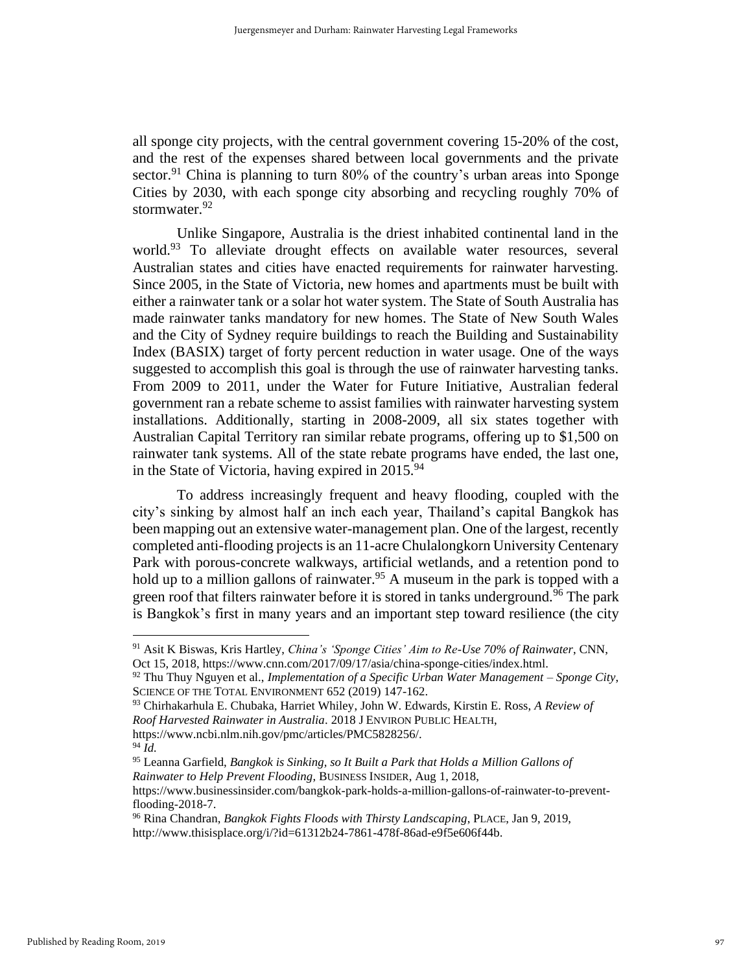all sponge city projects, with the central government covering 15-20% of the cost, and the rest of the expenses shared between local governments and the private sector.<sup>91</sup> China is planning to turn 80% of the country's urban areas into Sponge Cities by 2030, with each sponge city absorbing and recycling roughly 70% of stormwater. 92

Unlike Singapore, Australia is the driest inhabited continental land in the world.<sup>93</sup> To alleviate drought effects on available water resources, several Australian states and cities have enacted requirements for rainwater harvesting. Since 2005, in the State of Victoria, new homes and apartments must be built with either a rainwater tank or a solar hot water system. The State of South Australia has made rainwater tanks mandatory for new homes. The State of New South Wales and the City of Sydney require buildings to reach the Building and Sustainability Index (BASIX) target of forty percent reduction in water usage. One of the ways suggested to accomplish this goal is through the use of rainwater harvesting tanks. From 2009 to 2011, under the Water for Future Initiative, Australian federal government ran a rebate scheme to assist families with rainwater harvesting system installations. Additionally, starting in 2008-2009, all six states together with Australian Capital Territory ran similar rebate programs, offering up to \$1,500 on rainwater tank systems. All of the state rebate programs have ended, the last one, in the State of Victoria, having expired in  $2015.^{94}$ 

To address increasingly frequent and heavy flooding, coupled with the city's sinking by almost half an inch each year, Thailand's capital Bangkok has been mapping out an extensive water-management plan. One of the largest, recently completed anti-flooding projects is an 11-acre Chulalongkorn University Centenary Park with porous-concrete walkways, artificial wetlands, and a retention pond to hold up to a million gallons of rainwater.<sup>95</sup> A museum in the park is topped with a green roof that filters rainwater before it is stored in tanks underground.<sup>96</sup> The park is Bangkok's first in many years and an important step toward resilience (the city

<sup>91</sup> Asit K Biswas, Kris Hartley, *China's 'Sponge Cities' Aim to Re-Use 70% of Rainwater*, CNN, Oct 15, 2018, https://www.cnn.com/2017/09/17/asia/china-sponge-cities/index.html.

<sup>92</sup> Thu Thuy Nguyen et al., *Implementation of a Specific Urban Water Management – Sponge City*, SCIENCE OF THE TOTAL ENVIRONMENT 652 (2019) 147-162.

<sup>93</sup> Chirhakarhula E. Chubaka, Harriet Whiley, John W. Edwards, Kirstin E. Ross, *A Review of Roof Harvested Rainwater in Australia*. 2018 J ENVIRON PUBLIC HEALTH, https://www.ncbi.nlm.nih.gov/pmc/articles/PMC5828256/.

<sup>94</sup> *Id.*

<sup>95</sup> Leanna Garfield, *Bangkok is Sinking, so It Built a Park that Holds a Million Gallons of Rainwater to Help Prevent Flooding*, BUSINESS INSIDER, Aug 1, 2018,

https://www.businessinsider.com/bangkok-park-holds-a-million-gallons-of-rainwater-to-preventflooding-2018-7.

<sup>96</sup> Rina Chandran, *Bangkok Fights Floods with Thirsty Landscaping*, PLACE, Jan 9, 2019, http://www.thisisplace.org/i/?id=61312b24-7861-478f-86ad-e9f5e606f44b.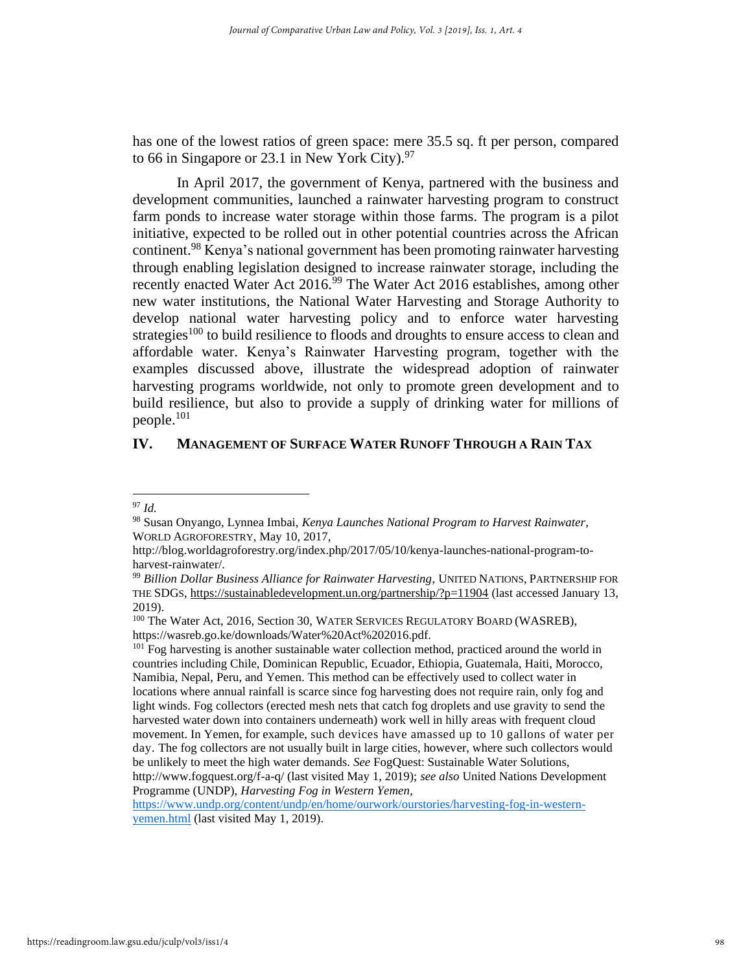has one of the lowest ratios of green space: mere 35.5 sq. ft per person, compared to 66 in Singapore or 23.1 in New York City). $97$ 

In April 2017, the government of Kenya, partnered with the business and development communities, launched a rainwater harvesting program to construct farm ponds to increase water storage within those farms. The program is a pilot initiative, expected to be rolled out in other potential countries across the African continent.<sup>98</sup> Kenya's national government has been promoting rainwater harvesting through enabling legislation designed to increase rainwater storage, including the recently enacted Water Act 2016.<sup>99</sup> The Water Act 2016 establishes, among other new water institutions, the National Water Harvesting and Storage Authority to develop national water harvesting policy and to enforce water harvesting strategies<sup>100</sup> to build resilience to floods and droughts to ensure access to clean and affordable water. Kenya's Rainwater Harvesting program, together with the examples discussed above, illustrate the widespread adoption of rainwater harvesting programs worldwide, not only to promote green development and to build resilience, but also to provide a supply of drinking water for millions of people.<sup>101</sup>

#### **IV. MANAGEMENT OF SURFACE WATER RUNOFF THROUGH A RAIN TAX**

Programme (UNDP), *Harvesting Fog in Western Yemen*,

[https://www.undp.org/content/undp/en/home/ourwork/ourstories/harvesting-fog-in-western](https://www.undp.org/content/undp/en/home/ourwork/ourstories/harvesting-fog-in-western-yemen.html)[yemen.html](https://www.undp.org/content/undp/en/home/ourwork/ourstories/harvesting-fog-in-western-yemen.html) (last visited May 1, 2019).

<sup>97</sup> *Id.*

<sup>98</sup> Susan Onyango, Lynnea Imbai, *Kenya Launches National Program to Harvest Rainwater*, WORLD AGROFORESTRY, May 10, 2017,

http://blog.worldagroforestry.org/index.php/2017/05/10/kenya-launches-national-program-toharvest-rainwater/.

<sup>99</sup> *Billion Dollar Business Alliance for Rainwater Harvesting*, UNITED NATIONS, PARTNERSHIP FOR THE SDGS,<https://sustainabledevelopment.un.org/partnership/?p=11904> (last accessed January 13, 2019).

<sup>&</sup>lt;sup>100</sup> The Water Act, 2016, Section 30, WATER SERVICES REGULATORY BOARD (WASREB), https://wasreb.go.ke/downloads/Water%20Act%202016.pdf.

<sup>&</sup>lt;sup>101</sup> Fog harvesting is another sustainable water collection method, practiced around the world in countries including Chile, Dominican Republic, Ecuador, Ethiopia, Guatemala, Haiti, Morocco, Namibia, Nepal, Peru, and Yemen. This method can be effectively used to collect water in locations where annual rainfall is scarce since fog harvesting does not require rain, only fog and light winds. Fog collectors (erected mesh nets that catch fog droplets and use gravity to send the harvested water down into containers underneath) work well in hilly areas with frequent cloud movement. In Yemen, for example, such devices have amassed up to 10 gallons of water per day. The fog collectors are not usually built in large cities, however, where such collectors would be unlikely to meet the high water demands. *See* FogQuest: Sustainable Water Solutions, <http://www.fogquest.org/f-a-q/> (last visited May 1, 2019); *see also* United Nations Development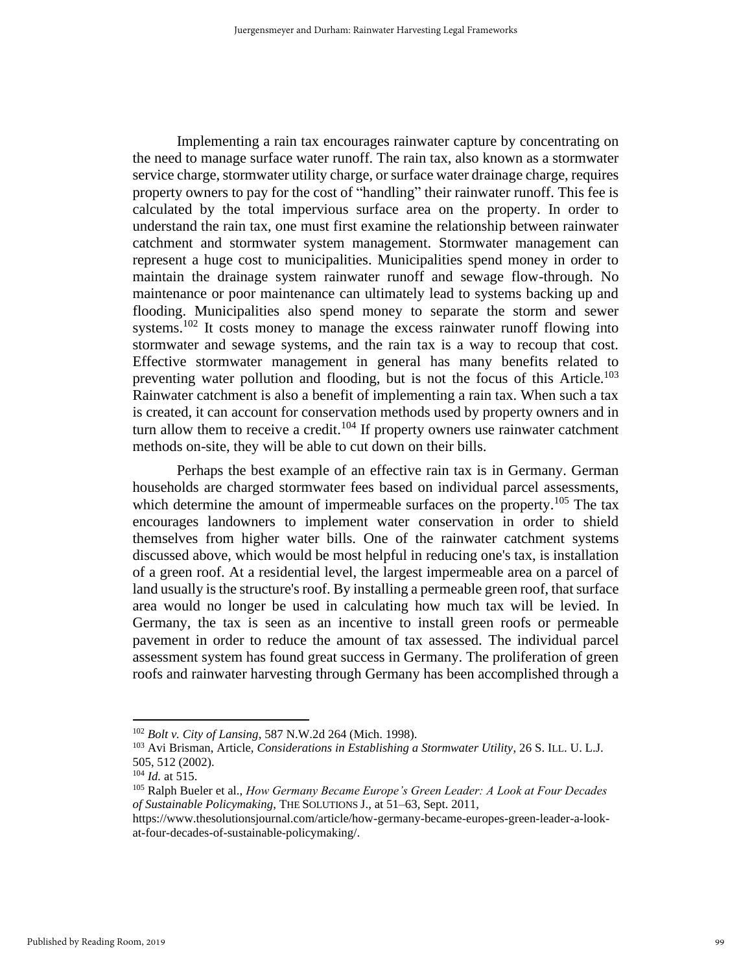Implementing a rain tax encourages rainwater capture by concentrating on the need to manage surface water runoff. The rain tax, also known as a stormwater service charge, stormwater utility charge, or surface water drainage charge, requires property owners to pay for the cost of "handling" their rainwater runoff. This fee is calculated by the total impervious surface area on the property. In order to understand the rain tax, one must first examine the relationship between rainwater catchment and stormwater system management. Stormwater management can represent a huge cost to municipalities. Municipalities spend money in order to maintain the drainage system rainwater runoff and sewage flow-through. No maintenance or poor maintenance can ultimately lead to systems backing up and flooding. Municipalities also spend money to separate the storm and sewer systems.<sup>102</sup> It costs money to manage the excess rainwater runoff flowing into stormwater and sewage systems, and the rain tax is a way to recoup that cost. Effective stormwater management in general has many benefits related to preventing water pollution and flooding, but is not the focus of this Article.<sup>103</sup> Rainwater catchment is also a benefit of implementing a rain tax. When such a tax is created, it can account for conservation methods used by property owners and in turn allow them to receive a credit.<sup>104</sup> If property owners use rainwater catchment methods on-site, they will be able to cut down on their bills.

Perhaps the best example of an effective rain tax is in Germany. German households are charged stormwater fees based on individual parcel assessments, which determine the amount of impermeable surfaces on the property.<sup>105</sup> The tax encourages landowners to implement water conservation in order to shield themselves from higher water bills. One of the rainwater catchment systems discussed above, which would be most helpful in reducing one's tax, is installation of a green roof. At a residential level, the largest impermeable area on a parcel of land usually is the structure's roof. By installing a permeable green roof, that surface area would no longer be used in calculating how much tax will be levied. In Germany, the tax is seen as an incentive to install green roofs or permeable pavement in order to reduce the amount of tax assessed. The individual parcel assessment system has found great success in Germany. The proliferation of green roofs and rainwater harvesting through Germany has been accomplished through a

<sup>102</sup> *Bolt v. City of Lansing*, 587 N.W.2d 264 (Mich. 1998).

<sup>103</sup> Avi Brisman, Article, *Considerations in Establishing a Stormwater Utility*, 26 S. ILL. U. L.J. 505, 512 (2002).

<sup>104</sup> *Id.* at 515.

<sup>105</sup> Ralph Bueler et al., *How Germany Became Europe's Green Leader: A Look at Four Decades of Sustainable Policymaking*, THE SOLUTIONS J., at 51–63, Sept. 2011,

https://www.thesolutionsjournal.com/article/how-germany-became-europes-green-leader-a-lookat-four-decades-of-sustainable-policymaking/.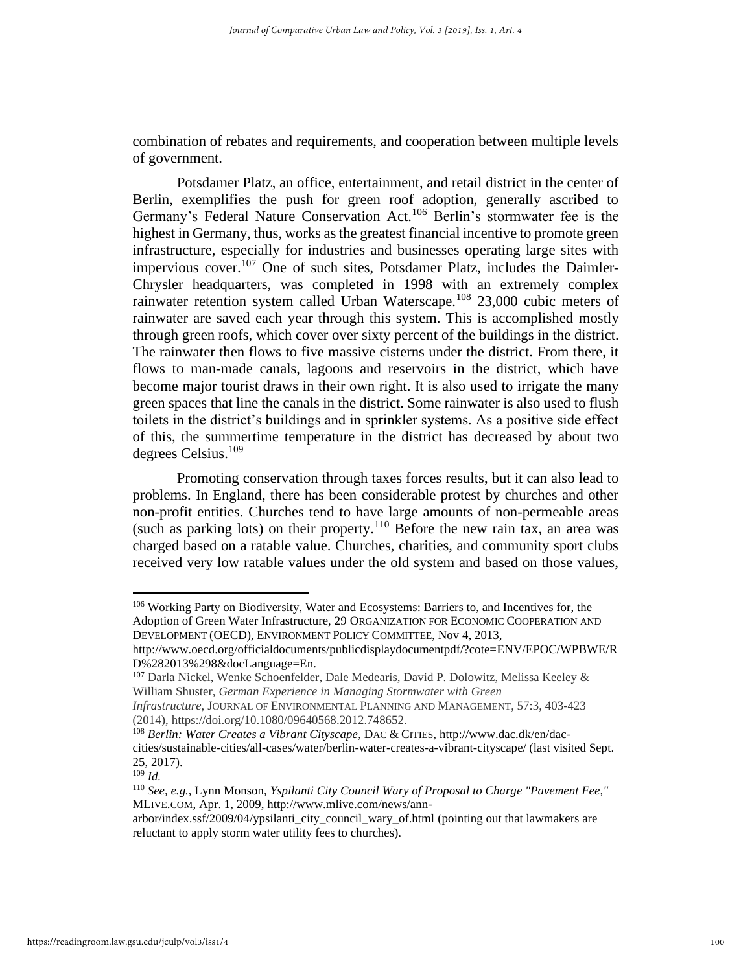combination of rebates and requirements, and cooperation between multiple levels of government.

Potsdamer Platz, an office, entertainment, and retail district in the center of Berlin, exemplifies the push for green roof adoption, generally ascribed to Germany's Federal Nature Conservation Act.<sup>106</sup> Berlin's stormwater fee is the highest in Germany, thus, works as the greatest financial incentive to promote green infrastructure, especially for industries and businesses operating large sites with impervious cover.<sup>107</sup> One of such sites, Potsdamer Platz, includes the Daimler-Chrysler headquarters, was completed in 1998 with an extremely complex rainwater retention system called Urban Waterscape.<sup>108</sup> 23,000 cubic meters of rainwater are saved each year through this system. This is accomplished mostly through green roofs, which cover over sixty percent of the buildings in the district. The rainwater then flows to five massive cisterns under the district. From there, it flows to man-made canals, lagoons and reservoirs in the district, which have become major tourist draws in their own right. It is also used to irrigate the many green spaces that line the canals in the district. Some rainwater is also used to flush toilets in the district's buildings and in sprinkler systems. As a positive side effect of this, the summertime temperature in the district has decreased by about two degrees Celsius.<sup>109</sup>

Promoting conservation through taxes forces results, but it can also lead to problems. In England, there has been considerable protest by churches and other non-profit entities. Churches tend to have large amounts of non-permeable areas (such as parking lots) on their property.<sup>110</sup> Before the new rain tax, an area was charged based on a ratable value. Churches, charities, and community sport clubs received very low ratable values under the old system and based on those values,

<sup>106</sup> Working Party on Biodiversity, Water and Ecosystems: Barriers to, and Incentives for, the Adoption of Green Water Infrastructure, 29 ORGANIZATION FOR ECONOMIC COOPERATION AND DEVELOPMENT (OECD), ENVIRONMENT POLICY COMMITTEE, Nov 4, 2013,

http://www.oecd.org/officialdocuments/publicdisplaydocumentpdf/?cote=ENV/EPOC/WPBWE/R D%282013%298&docLanguage=En.

<sup>107</sup> Darla Nickel, Wenke Schoenfelder, Dale Medearis, David P. Dolowitz, Melissa Keeley & William Shuster, *German Experience in Managing Stormwater with Green* 

*Infrastructure*, JOURNAL OF ENVIRONMENTAL PLANNING AND MANAGEMENT, 57:3, 403-423 (2014), https://doi.org/10.1080/09640568.2012.748652.

<sup>108</sup> *Berlin: Water Creates a Vibrant Cityscape*, DAC & CITIES, http://www.dac.dk/en/daccities/sustainable-cities/all-cases/water/berlin-water-creates-a-vibrant-cityscape/ (last visited Sept. 25, 2017).

<sup>109</sup> *Id.*

<sup>110</sup> *See, e.g.*, Lynn Monson, *Yspilanti City Council Wary of Proposal to Charge "Pavement Fee,"* MLIVE.COM, Apr. 1, 2009, http://www.mlive.com/news/ann-

arbor/index.ssf/2009/04/ypsilanti\_city\_council\_wary\_of.html (pointing out that lawmakers are reluctant to apply storm water utility fees to churches).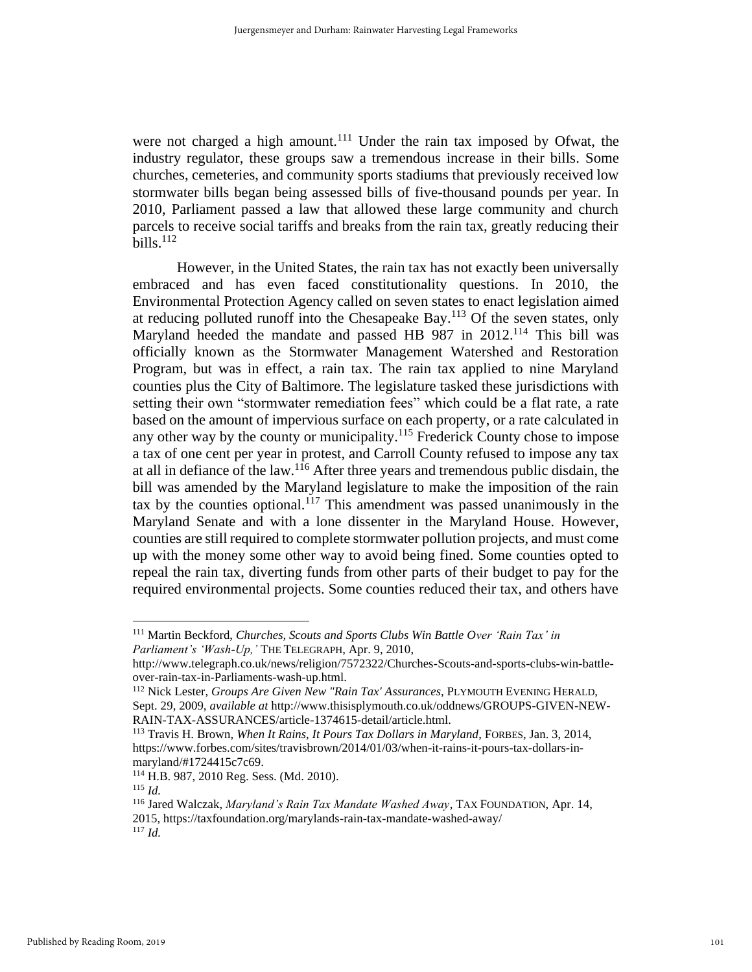were not charged a high amount.<sup>111</sup> Under the rain tax imposed by Ofwat, the industry regulator, these groups saw a tremendous increase in their bills. Some churches, cemeteries, and community sports stadiums that previously received low stormwater bills began being assessed bills of five-thousand pounds per year. In 2010, Parliament passed a law that allowed these large community and church parcels to receive social tariffs and breaks from the rain tax, greatly reducing their bills. $112$ 

However, in the United States, the rain tax has not exactly been universally embraced and has even faced constitutionality questions. In 2010, the Environmental Protection Agency called on seven states to enact legislation aimed at reducing polluted runoff into the Chesapeake Bay.<sup>113</sup> Of the seven states, only Maryland heeded the mandate and passed HB 987 in 2012.<sup>114</sup> This bill was officially known as the Stormwater Management Watershed and Restoration Program, but was in effect, a rain tax. The rain tax applied to nine Maryland counties plus the City of Baltimore. The legislature tasked these jurisdictions with setting their own "stormwater remediation fees" which could be a flat rate, a rate based on the amount of impervious surface on each property, or a rate calculated in any other way by the county or municipality.<sup>115</sup> Frederick County chose to impose a tax of one cent per year in protest, and Carroll County refused to impose any tax at all in defiance of the law.<sup>116</sup> After three years and tremendous public disdain, the bill was amended by the Maryland legislature to make the imposition of the rain tax by the counties optional.<sup>117</sup> This amendment was passed unanimously in the Maryland Senate and with a lone dissenter in the Maryland House. However, counties are still required to complete stormwater pollution projects, and must come up with the money some other way to avoid being fined. Some counties opted to repeal the rain tax, diverting funds from other parts of their budget to pay for the required environmental projects. Some counties reduced their tax, and others have

<sup>111</sup> Martin Beckford, *Churches, Scouts and Sports Clubs Win Battle Over 'Rain Tax' in Parliament's 'Wash-Up,'* THE TELEGRAPH, Apr. 9, 2010,

http://www.telegraph.co.uk/news/religion/7572322/Churches-Scouts-and-sports-clubs-win-battleover-rain-tax-in-Parliaments-wash-up.html.

<sup>112</sup> Nick Lester, *Groups Are Given New "Rain Tax' Assurances*, PLYMOUTH EVENING HERALD, Sept. 29, 2009, *available at* http://www.thisisplymouth.co.uk/oddnews/GROUPS-GIVEN-NEW-RAIN-TAX-ASSURANCES/article-1374615-detail/article.html.

<sup>113</sup> Travis H. Brown, *When It Rains, It Pours Tax Dollars in Maryland*, FORBES, Jan. 3, 2014, https://www.forbes.com/sites/travisbrown/2014/01/03/when-it-rains-it-pours-tax-dollars-inmaryland/#1724415c7c69.

<sup>114</sup> H.B. 987, 2010 Reg. Sess. (Md. 2010).

<sup>115</sup> *Id.*

<sup>116</sup> Jared Walczak, *Maryland's Rain Tax Mandate Washed Away*, TAX FOUNDATION, Apr. 14, 2015, https://taxfoundation.org/marylands-rain-tax-mandate-washed-away/ <sup>117</sup> *Id.*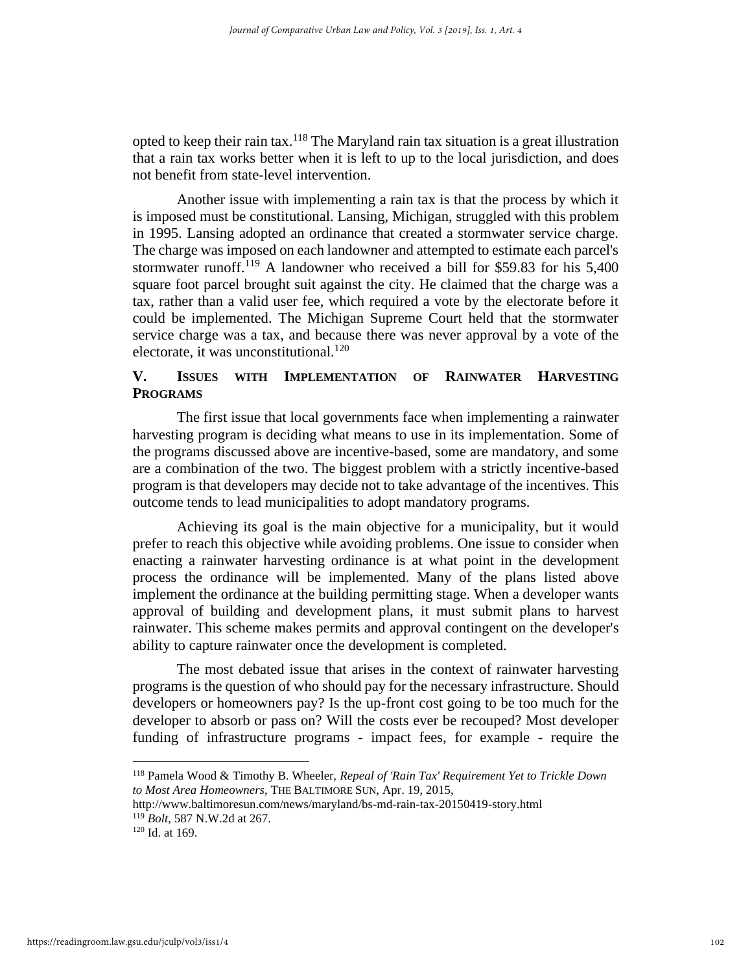opted to keep their rain tax.<sup>118</sup> The Maryland rain tax situation is a great illustration that a rain tax works better when it is left to up to the local jurisdiction, and does not benefit from state-level intervention.

Another issue with implementing a rain tax is that the process by which it is imposed must be constitutional. Lansing, Michigan, struggled with this problem in 1995. Lansing adopted an ordinance that created a stormwater service charge. The charge was imposed on each landowner and attempted to estimate each parcel's stormwater runoff.<sup>119</sup> A landowner who received a bill for \$59.83 for his 5,400 square foot parcel brought suit against the city. He claimed that the charge was a tax, rather than a valid user fee, which required a vote by the electorate before it could be implemented. The Michigan Supreme Court held that the stormwater service charge was a tax, and because there was never approval by a vote of the electorate, it was unconstitutional.<sup>120</sup>

## **V. ISSUES WITH IMPLEMENTATION OF RAINWATER HARVESTING PROGRAMS**

The first issue that local governments face when implementing a rainwater harvesting program is deciding what means to use in its implementation. Some of the programs discussed above are incentive-based, some are mandatory, and some are a combination of the two. The biggest problem with a strictly incentive-based program is that developers may decide not to take advantage of the incentives. This outcome tends to lead municipalities to adopt mandatory programs.

Achieving its goal is the main objective for a municipality, but it would prefer to reach this objective while avoiding problems. One issue to consider when enacting a rainwater harvesting ordinance is at what point in the development process the ordinance will be implemented. Many of the plans listed above implement the ordinance at the building permitting stage. When a developer wants approval of building and development plans, it must submit plans to harvest rainwater. This scheme makes permits and approval contingent on the developer's ability to capture rainwater once the development is completed.

The most debated issue that arises in the context of rainwater harvesting programs is the question of who should pay for the necessary infrastructure. Should developers or homeowners pay? Is the up-front cost going to be too much for the developer to absorb or pass on? Will the costs ever be recouped? Most developer funding of infrastructure programs - impact fees, for example - require the

<sup>118</sup> Pamela Wood & Timothy B. Wheeler, *Repeal of 'Rain Tax' Requirement Yet to Trickle Down to Most Area Homeowners*, THE BALTIMORE SUN, Apr. 19, 2015,

http://www.baltimoresun.com/news/maryland/bs-md-rain-tax-20150419-story.html

<sup>119</sup> *Bolt*, 587 N.W.2d at 267.

<sup>120</sup> Id. at 169.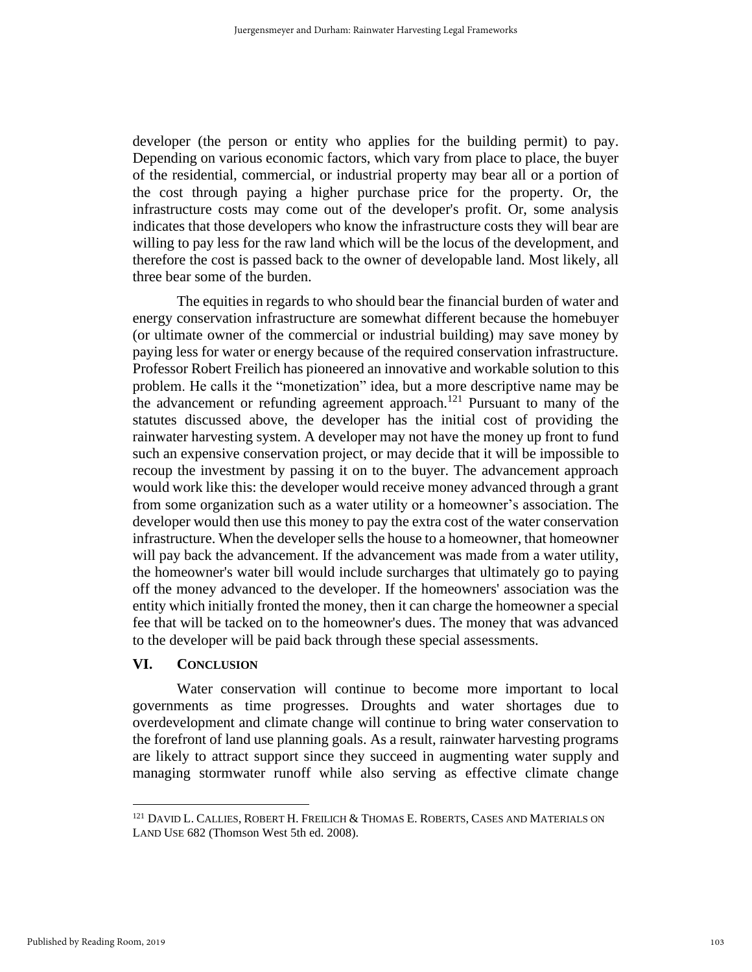developer (the person or entity who applies for the building permit) to pay. Depending on various economic factors, which vary from place to place, the buyer of the residential, commercial, or industrial property may bear all or a portion of the cost through paying a higher purchase price for the property. Or, the infrastructure costs may come out of the developer's profit. Or, some analysis indicates that those developers who know the infrastructure costs they will bear are willing to pay less for the raw land which will be the locus of the development, and therefore the cost is passed back to the owner of developable land. Most likely, all three bear some of the burden.

The equities in regards to who should bear the financial burden of water and energy conservation infrastructure are somewhat different because the homebuyer (or ultimate owner of the commercial or industrial building) may save money by paying less for water or energy because of the required conservation infrastructure. Professor Robert Freilich has pioneered an innovative and workable solution to this problem. He calls it the "monetization" idea, but a more descriptive name may be the advancement or refunding agreement approach.<sup>121</sup> Pursuant to many of the statutes discussed above, the developer has the initial cost of providing the rainwater harvesting system. A developer may not have the money up front to fund such an expensive conservation project, or may decide that it will be impossible to recoup the investment by passing it on to the buyer. The advancement approach would work like this: the developer would receive money advanced through a grant from some organization such as a water utility or a homeowner's association. The developer would then use this money to pay the extra cost of the water conservation infrastructure. When the developer sells the house to a homeowner, that homeowner will pay back the advancement. If the advancement was made from a water utility, the homeowner's water bill would include surcharges that ultimately go to paying off the money advanced to the developer. If the homeowners' association was the entity which initially fronted the money, then it can charge the homeowner a special fee that will be tacked on to the homeowner's dues. The money that was advanced to the developer will be paid back through these special assessments.

#### **VI. CONCLUSION**

Water conservation will continue to become more important to local governments as time progresses. Droughts and water shortages due to overdevelopment and climate change will continue to bring water conservation to the forefront of land use planning goals. As a result, rainwater harvesting programs are likely to attract support since they succeed in augmenting water supply and managing stormwater runoff while also serving as effective climate change

<sup>121</sup> DAVID L. CALLIES, ROBERT H. FREILICH & THOMAS E. ROBERTS, CASES AND MATERIALS ON LAND USE 682 (Thomson West 5th ed. 2008).